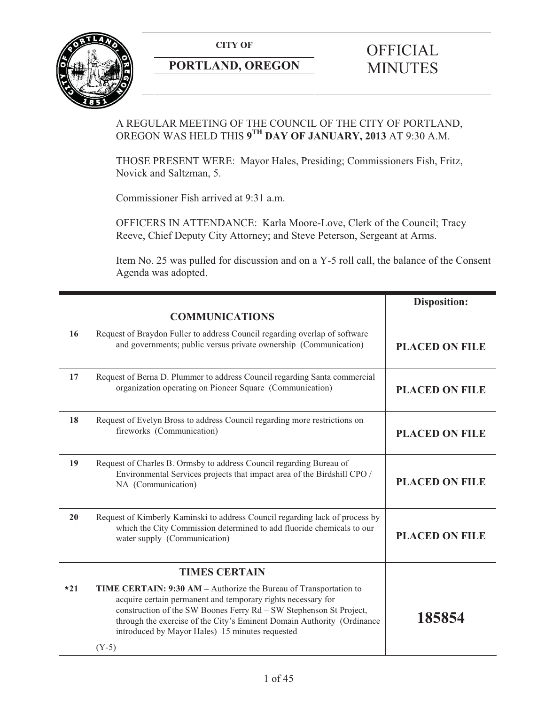**CITY OF** 



# **PORTLAND, OREGON**

# **OFFICIAL** MINUTES

# A REGULAR MEETING OF THE COUNCIL OF THE CITY OF PORTLAND, OREGON WAS HELD THIS **9TH DAY OF JANUARY, 2013** AT 9:30 A.M.

THOSE PRESENT WERE: Mayor Hales, Presiding; Commissioners Fish, Fritz, Novick and Saltzman, 5.

Commissioner Fish arrived at 9:31 a.m.

OFFICERS IN ATTENDANCE: Karla Moore-Love, Clerk of the Council; Tracy Reeve, Chief Deputy City Attorney; and Steve Peterson, Sergeant at Arms.

Item No. 25 was pulled for discussion and on a Y-5 roll call, the balance of the Consent Agenda was adopted.

|       |                                                                                                                                                                                                                                                                                                                                                 | <b>Disposition:</b>   |
|-------|-------------------------------------------------------------------------------------------------------------------------------------------------------------------------------------------------------------------------------------------------------------------------------------------------------------------------------------------------|-----------------------|
|       | <b>COMMUNICATIONS</b>                                                                                                                                                                                                                                                                                                                           |                       |
| 16    | Request of Braydon Fuller to address Council regarding overlap of software<br>and governments; public versus private ownership (Communication)                                                                                                                                                                                                  | <b>PLACED ON FILE</b> |
| 17    | Request of Berna D. Plummer to address Council regarding Santa commercial<br>organization operating on Pioneer Square (Communication)                                                                                                                                                                                                           | <b>PLACED ON FILE</b> |
| 18    | Request of Evelyn Bross to address Council regarding more restrictions on<br>fireworks (Communication)                                                                                                                                                                                                                                          | <b>PLACED ON FILE</b> |
| 19    | Request of Charles B. Ormsby to address Council regarding Bureau of<br>Environmental Services projects that impact area of the Birdshill CPO /<br>NA (Communication)                                                                                                                                                                            | <b>PLACED ON FILE</b> |
| 20    | Request of Kimberly Kaminski to address Council regarding lack of process by<br>which the City Commission determined to add fluoride chemicals to our<br>water supply (Communication)                                                                                                                                                           | <b>PLACED ON FILE</b> |
|       | <b>TIMES CERTAIN</b>                                                                                                                                                                                                                                                                                                                            |                       |
| $*21$ | TIME CERTAIN: 9:30 AM - Authorize the Bureau of Transportation to<br>acquire certain permanent and temporary rights necessary for<br>construction of the SW Boones Ferry Rd - SW Stephenson St Project,<br>through the exercise of the City's Eminent Domain Authority (Ordinance<br>introduced by Mayor Hales) 15 minutes requested<br>$(Y-5)$ | 185854                |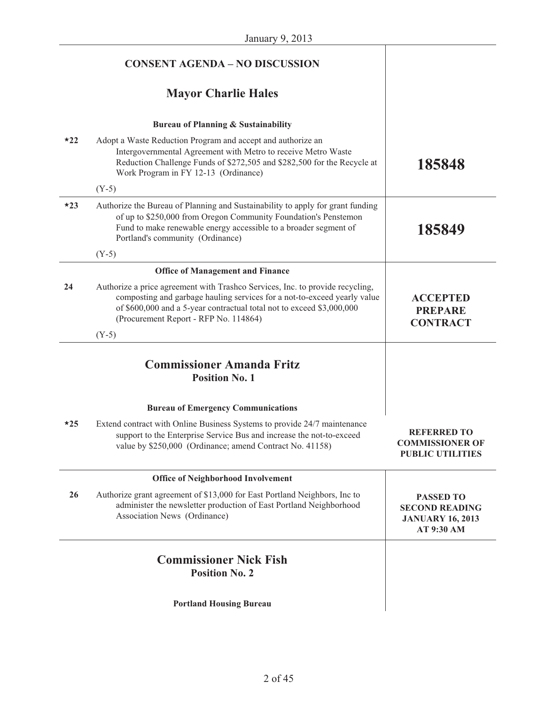|       | <b>CONSENT AGENDA - NO DISCUSSION</b>                                                                                                                                                                                                                                       |                                                                                    |
|-------|-----------------------------------------------------------------------------------------------------------------------------------------------------------------------------------------------------------------------------------------------------------------------------|------------------------------------------------------------------------------------|
|       | <b>Mayor Charlie Hales</b>                                                                                                                                                                                                                                                  |                                                                                    |
|       | <b>Bureau of Planning &amp; Sustainability</b>                                                                                                                                                                                                                              |                                                                                    |
| $*22$ | Adopt a Waste Reduction Program and accept and authorize an<br>Intergovernmental Agreement with Metro to receive Metro Waste<br>Reduction Challenge Funds of \$272,505 and \$282,500 for the Recycle at<br>Work Program in FY 12-13 (Ordinance)                             | 185848                                                                             |
|       | $(Y-5)$                                                                                                                                                                                                                                                                     |                                                                                    |
| $*23$ | Authorize the Bureau of Planning and Sustainability to apply for grant funding<br>of up to \$250,000 from Oregon Community Foundation's Penstemon<br>Fund to make renewable energy accessible to a broader segment of<br>Portland's community (Ordinance)                   | 185849                                                                             |
|       | $(Y-5)$                                                                                                                                                                                                                                                                     |                                                                                    |
|       | <b>Office of Management and Finance</b>                                                                                                                                                                                                                                     |                                                                                    |
| 24    | Authorize a price agreement with Trashco Services, Inc. to provide recycling,<br>composting and garbage hauling services for a not-to-exceed yearly value<br>of \$600,000 and a 5-year contractual total not to exceed \$3,000,000<br>(Procurement Report - RFP No. 114864) | <b>ACCEPTED</b><br><b>PREPARE</b><br><b>CONTRACT</b>                               |
|       | $(Y-5)$                                                                                                                                                                                                                                                                     |                                                                                    |
|       | <b>Commissioner Amanda Fritz</b><br><b>Position No. 1</b>                                                                                                                                                                                                                   |                                                                                    |
|       | <b>Bureau of Emergency Communications</b>                                                                                                                                                                                                                                   |                                                                                    |
| $*25$ | Extend contract with Online Business Systems to provide 24/7 maintenance<br>support to the Enterprise Service Bus and increase the not-to-exceed<br>value by \$250,000 (Ordinance; amend Contract No. 41158)                                                                | <b>REFERRED TO</b><br><b>COMMISSIONER OF</b><br><b>PUBLIC UTILITIES</b>            |
|       | <b>Office of Neighborhood Involvement</b>                                                                                                                                                                                                                                   |                                                                                    |
| 26    | Authorize grant agreement of \$13,000 for East Portland Neighbors, Inc to<br>administer the newsletter production of East Portland Neighborhood<br>Association News (Ordinance)                                                                                             | <b>PASSED TO</b><br><b>SECOND READING</b><br><b>JANUARY 16, 2013</b><br>AT 9:30 AM |
|       | <b>Commissioner Nick Fish</b><br><b>Position No. 2</b>                                                                                                                                                                                                                      |                                                                                    |
|       | <b>Portland Housing Bureau</b>                                                                                                                                                                                                                                              |                                                                                    |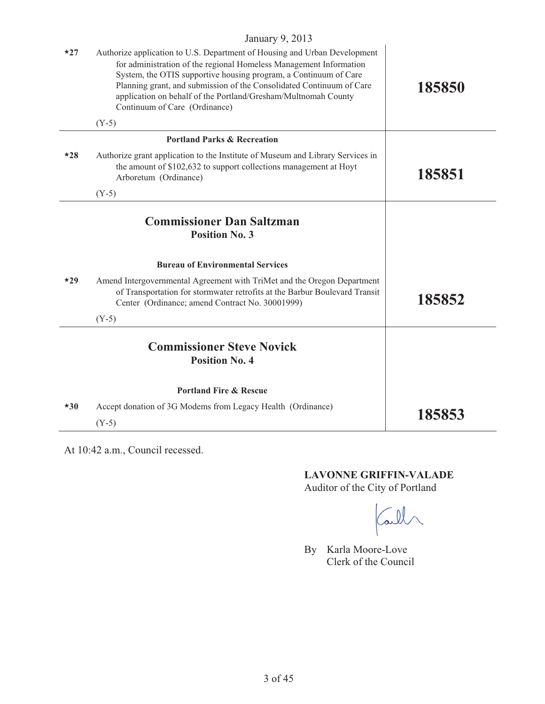| $*27$ | $J$ unuur $\gamma$ , $201J$<br>Authorize application to U.S. Department of Housing and Urban Development<br>for administration of the regional Homeless Management Information<br>System, the OTIS supportive housing program, a Continuum of Care<br>Planning grant, and submission of the Consolidated Continuum of Care<br>application on behalf of the Portland/Gresham/Multnomah County<br>Continuum of Care (Ordinance)<br>$(Y-5)$ | 185850 |
|-------|------------------------------------------------------------------------------------------------------------------------------------------------------------------------------------------------------------------------------------------------------------------------------------------------------------------------------------------------------------------------------------------------------------------------------------------|--------|
|       | <b>Portland Parks &amp; Recreation</b>                                                                                                                                                                                                                                                                                                                                                                                                   |        |
| $*28$ | Authorize grant application to the Institute of Museum and Library Services in<br>the amount of \$102,632 to support collections management at Hoyt<br>Arboretum (Ordinance)                                                                                                                                                                                                                                                             | 185851 |
|       | $(Y-5)$                                                                                                                                                                                                                                                                                                                                                                                                                                  |        |
|       | <b>Commissioner Dan Saltzman</b><br><b>Position No. 3</b>                                                                                                                                                                                                                                                                                                                                                                                |        |
|       | <b>Bureau of Environmental Services</b>                                                                                                                                                                                                                                                                                                                                                                                                  |        |
| $*29$ | Amend Intergovernmental Agreement with TriMet and the Oregon Department<br>of Transportation for stormwater retrofits at the Barbur Boulevard Transit<br>Center (Ordinance; amend Contract No. 30001999)<br>$(Y-5)$                                                                                                                                                                                                                      | 185852 |
|       | <b>Commissioner Steve Novick</b><br><b>Position No. 4</b>                                                                                                                                                                                                                                                                                                                                                                                |        |
|       | <b>Portland Fire &amp; Rescue</b>                                                                                                                                                                                                                                                                                                                                                                                                        |        |
| $*30$ | Accept donation of 3G Modems from Legacy Health (Ordinance)                                                                                                                                                                                                                                                                                                                                                                              | 185853 |
|       | $(Y-5)$                                                                                                                                                                                                                                                                                                                                                                                                                                  |        |

At 10:42 a.m., Council recessed.

**LAVONNE GRIFFIN-VALADE**  Auditor of the City of Portland

Call

By Karla Moore-Love Clerk of the Council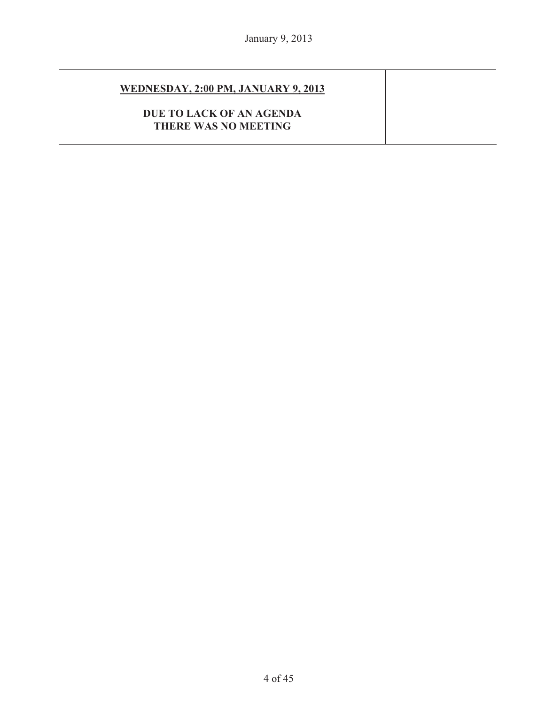# **WEDNESDAY, 2:00 PM, JANUARY 9, 2013**

# **DUE TO LACK OF AN AGENDA THERE WAS NO MEETING**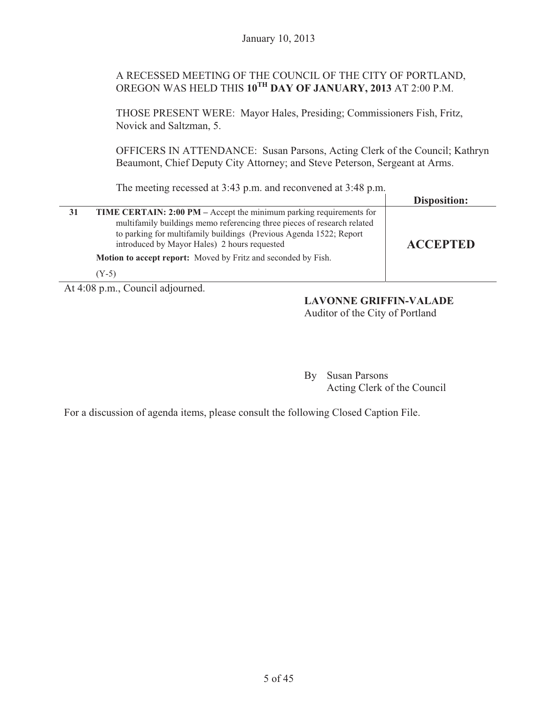# A RECESSED MEETING OF THE COUNCIL OF THE CITY OF PORTLAND, OREGON WAS HELD THIS **10TH DAY OF JANUARY, 2013** AT 2:00 P.M.

THOSE PRESENT WERE: Mayor Hales, Presiding; Commissioners Fish, Fritz, Novick and Saltzman, 5.

OFFICERS IN ATTENDANCE: Susan Parsons, Acting Clerk of the Council; Kathryn Beaumont, Chief Deputy City Attorney; and Steve Peterson, Sergeant at Arms.

The meeting recessed at 3:43 p.m. and reconvened at 3:48 p.m.

|                                                                                                                                                                                                                                                                             | <b>Disposition:</b> |
|-----------------------------------------------------------------------------------------------------------------------------------------------------------------------------------------------------------------------------------------------------------------------------|---------------------|
| <b>TIME CERTAIN: 2:00 PM</b> – Accept the minimum parking requirements for<br>multifamily buildings memo referencing three pieces of research related<br>to parking for multifamily buildings (Previous Agenda 1522; Report<br>introduced by Mayor Hales) 2 hours requested | <b>ACCEPTED</b>     |
| <b>Motion to accept report:</b> Moved by Fritz and seconded by Fish.                                                                                                                                                                                                        |                     |
| $(Y-5)$                                                                                                                                                                                                                                                                     |                     |

At 4:08 p.m., Council adjourned.

# **LAVONNE GRIFFIN-VALADE**

Auditor of the City of Portland

By Susan Parsons Acting Clerk of the Council

For a discussion of agenda items, please consult the following Closed Caption File.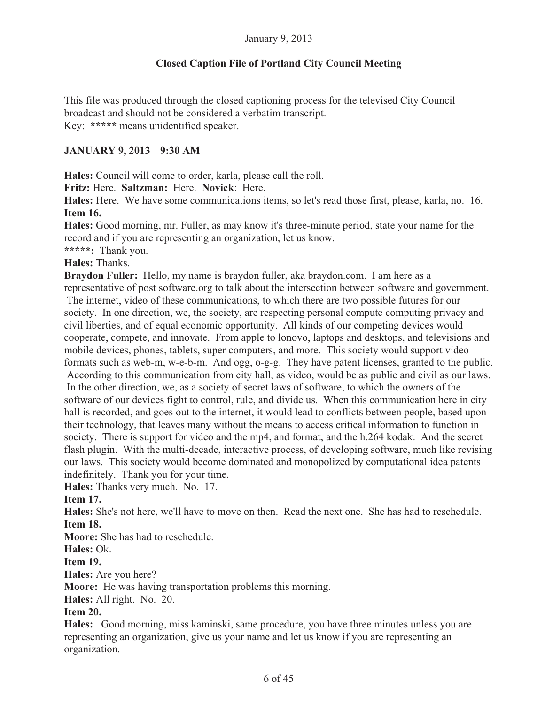# **Closed Caption File of Portland City Council Meeting**

This file was produced through the closed captioning process for the televised City Council broadcast and should not be considered a verbatim transcript. Key: **\*\*\*\*\*** means unidentified speaker.

# **JANUARY 9, 2013 9:30 AM**

**Hales:** Council will come to order, karla, please call the roll.

**Fritz:** Here. **Saltzman:** Here. **Novick**: Here.

**Hales:** Here. We have some communications items, so let's read those first, please, karla, no. 16. **Item 16.** 

**Hales:** Good morning, mr. Fuller, as may know it's three-minute period, state your name for the record and if you are representing an organization, let us know.

**\*\*\*\*\*:** Thank you.

#### **Hales:** Thanks.

**Braydon Fuller:** Hello, my name is braydon fuller, aka braydon.com. I am here as a representative of post software.org to talk about the intersection between software and government. The internet, video of these communications, to which there are two possible futures for our society. In one direction, we, the society, are respecting personal compute computing privacy and

civil liberties, and of equal economic opportunity. All kinds of our competing devices would cooperate, compete, and innovate. From apple to lonovo, laptops and desktops, and televisions and mobile devices, phones, tablets, super computers, and more. This society would support video formats such as web-m, w-e-b-m. And ogg, o-g-g. They have patent licenses, granted to the public. According to this communication from city hall, as video, would be as public and civil as our laws. In the other direction, we, as a society of secret laws of software, to which the owners of the software of our devices fight to control, rule, and divide us. When this communication here in city hall is recorded, and goes out to the internet, it would lead to conflicts between people, based upon their technology, that leaves many without the means to access critical information to function in society. There is support for video and the mp4, and format, and the h.264 kodak. And the secret flash plugin. With the multi-decade, interactive process, of developing software, much like revising our laws. This society would become dominated and monopolized by computational idea patents indefinitely. Thank you for your time.

**Hales:** Thanks very much. No. 17.

# **Item 17.**

**Hales:** She's not here, we'll have to move on then. Read the next one. She has had to reschedule. **Item 18.** 

**Moore:** She has had to reschedule.

#### **Hales:** Ok.

**Item 19.**

**Hales:** Are you here?

**Moore:** He was having transportation problems this morning.

**Hales:** All right. No. 20.

# **Item 20.**

**Hales:** Good morning, miss kaminski, same procedure, you have three minutes unless you are representing an organization, give us your name and let us know if you are representing an organization.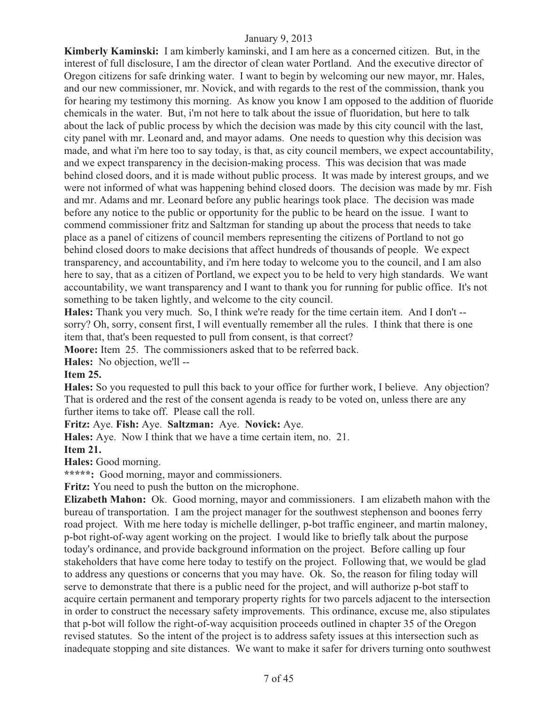**Kimberly Kaminski:** I am kimberly kaminski, and I am here as a concerned citizen. But, in the interest of full disclosure, I am the director of clean water Portland. And the executive director of Oregon citizens for safe drinking water. I want to begin by welcoming our new mayor, mr. Hales, and our new commissioner, mr. Novick, and with regards to the rest of the commission, thank you for hearing my testimony this morning. As know you know I am opposed to the addition of fluoride chemicals in the water. But, i'm not here to talk about the issue of fluoridation, but here to talk about the lack of public process by which the decision was made by this city council with the last, city panel with mr. Leonard and, and mayor adams. One needs to question why this decision was made, and what i'm here too to say today, is that, as city council members, we expect accountability, and we expect transparency in the decision-making process. This was decision that was made behind closed doors, and it is made without public process. It was made by interest groups, and we were not informed of what was happening behind closed doors. The decision was made by mr. Fish and mr. Adams and mr. Leonard before any public hearings took place. The decision was made before any notice to the public or opportunity for the public to be heard on the issue. I want to commend commissioner fritz and Saltzman for standing up about the process that needs to take place as a panel of citizens of council members representing the citizens of Portland to not go behind closed doors to make decisions that affect hundreds of thousands of people. We expect transparency, and accountability, and i'm here today to welcome you to the council, and I am also here to say, that as a citizen of Portland, we expect you to be held to very high standards. We want accountability, we want transparency and I want to thank you for running for public office. It's not something to be taken lightly, and welcome to the city council.

**Hales:** Thank you very much. So, I think we're ready for the time certain item. And I don't - sorry? Oh, sorry, consent first, I will eventually remember all the rules. I think that there is one item that, that's been requested to pull from consent, is that correct?

**Moore:** Item 25. The commissioners asked that to be referred back.

**Hales:** No objection, we'll --

#### **Item 25.**

**Hales:** So you requested to pull this back to your office for further work, I believe. Any objection? That is ordered and the rest of the consent agenda is ready to be voted on, unless there are any further items to take off. Please call the roll.

**Fritz:** Aye. **Fish:** Aye. **Saltzman:** Aye. **Novick:** Aye.

**Hales:** Aye. Now I think that we have a time certain item, no. 21. **Item 21.** 

**Hales:** Good morning.

**\*\*\*\*\*:** Good morning, mayor and commissioners.

**Fritz:** You need to push the button on the microphone.

**Elizabeth Mahon:** Ok. Good morning, mayor and commissioners. I am elizabeth mahon with the bureau of transportation. I am the project manager for the southwest stephenson and boones ferry road project. With me here today is michelle dellinger, p-bot traffic engineer, and martin maloney, p-bot right-of-way agent working on the project. I would like to briefly talk about the purpose today's ordinance, and provide background information on the project. Before calling up four stakeholders that have come here today to testify on the project. Following that, we would be glad to address any questions or concerns that you may have. Ok. So, the reason for filing today will serve to demonstrate that there is a public need for the project, and will authorize p-bot staff to acquire certain permanent and temporary property rights for two parcels adjacent to the intersection in order to construct the necessary safety improvements. This ordinance, excuse me, also stipulates that p-bot will follow the right-of-way acquisition proceeds outlined in chapter 35 of the Oregon revised statutes. So the intent of the project is to address safety issues at this intersection such as inadequate stopping and site distances. We want to make it safer for drivers turning onto southwest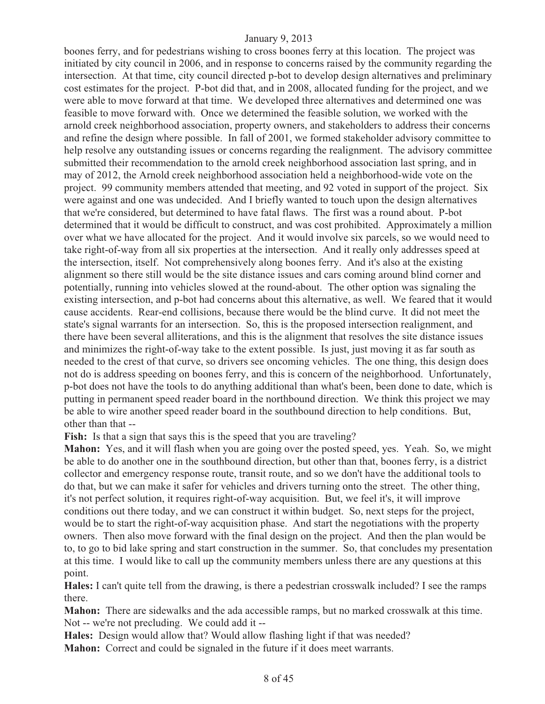boones ferry, and for pedestrians wishing to cross boones ferry at this location. The project was initiated by city council in 2006, and in response to concerns raised by the community regarding the intersection. At that time, city council directed p-bot to develop design alternatives and preliminary cost estimates for the project. P-bot did that, and in 2008, allocated funding for the project, and we were able to move forward at that time. We developed three alternatives and determined one was feasible to move forward with. Once we determined the feasible solution, we worked with the arnold creek neighborhood association, property owners, and stakeholders to address their concerns and refine the design where possible. In fall of 2001, we formed stakeholder advisory committee to help resolve any outstanding issues or concerns regarding the realignment. The advisory committee submitted their recommendation to the arnold creek neighborhood association last spring, and in may of 2012, the Arnold creek neighborhood association held a neighborhood-wide vote on the project. 99 community members attended that meeting, and 92 voted in support of the project. Six were against and one was undecided. And I briefly wanted to touch upon the design alternatives that we're considered, but determined to have fatal flaws. The first was a round about. P-bot determined that it would be difficult to construct, and was cost prohibited. Approximately a million over what we have allocated for the project. And it would involve six parcels, so we would need to take right-of-way from all six properties at the intersection. And it really only addresses speed at the intersection, itself. Not comprehensively along boones ferry. And it's also at the existing alignment so there still would be the site distance issues and cars coming around blind corner and potentially, running into vehicles slowed at the round-about. The other option was signaling the existing intersection, and p-bot had concerns about this alternative, as well. We feared that it would cause accidents. Rear-end collisions, because there would be the blind curve. It did not meet the state's signal warrants for an intersection. So, this is the proposed intersection realignment, and there have been several alliterations, and this is the alignment that resolves the site distance issues and minimizes the right-of-way take to the extent possible. Is just, just moving it as far south as needed to the crest of that curve, so drivers see oncoming vehicles. The one thing, this design does not do is address speeding on boones ferry, and this is concern of the neighborhood. Unfortunately, p-bot does not have the tools to do anything additional than what's been, been done to date, which is putting in permanent speed reader board in the northbound direction. We think this project we may be able to wire another speed reader board in the southbound direction to help conditions. But, other than that --

Fish: Is that a sign that says this is the speed that you are traveling?

**Mahon:** Yes, and it will flash when you are going over the posted speed, yes. Yeah. So, we might be able to do another one in the southbound direction, but other than that, boones ferry, is a district collector and emergency response route, transit route, and so we don't have the additional tools to do that, but we can make it safer for vehicles and drivers turning onto the street. The other thing, it's not perfect solution, it requires right-of-way acquisition. But, we feel it's, it will improve conditions out there today, and we can construct it within budget. So, next steps for the project, would be to start the right-of-way acquisition phase. And start the negotiations with the property owners. Then also move forward with the final design on the project. And then the plan would be to, to go to bid lake spring and start construction in the summer. So, that concludes my presentation at this time. I would like to call up the community members unless there are any questions at this point.

**Hales:** I can't quite tell from the drawing, is there a pedestrian crosswalk included? I see the ramps there.

**Mahon:** There are sidewalks and the ada accessible ramps, but no marked crosswalk at this time. Not -- we're not precluding. We could add it --

**Hales:** Design would allow that? Would allow flashing light if that was needed? **Mahon:** Correct and could be signaled in the future if it does meet warrants.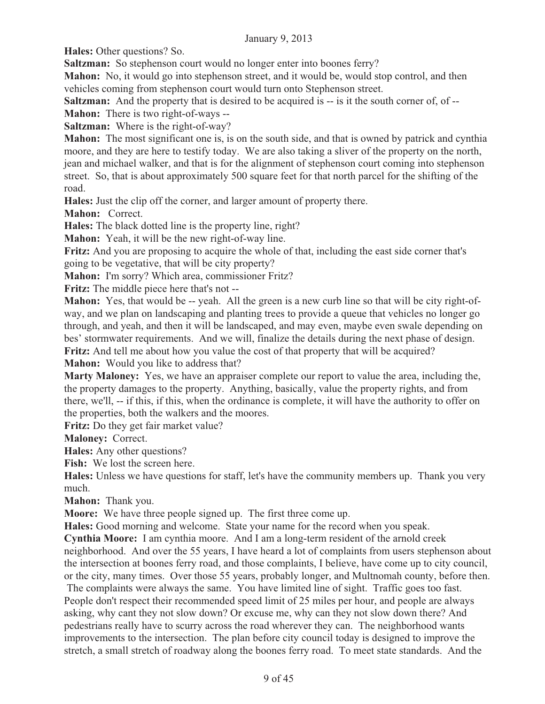**Hales:** Other questions? So.

**Saltzman:** So stephenson court would no longer enter into boones ferry?

**Mahon:** No, it would go into stephenson street, and it would be, would stop control, and then vehicles coming from stephenson court would turn onto Stephenson street.

**Saltzman:** And the property that is desired to be acquired is -- is it the south corner of, of --

**Mahon:** There is two right-of-ways --

**Saltzman:** Where is the right-of-way?

**Mahon:** The most significant one is, is on the south side, and that is owned by patrick and cynthia moore, and they are here to testify today. We are also taking a sliver of the property on the north, jean and michael walker, and that is for the alignment of stephenson court coming into stephenson street. So, that is about approximately 500 square feet for that north parcel for the shifting of the road.

**Hales:** Just the clip off the corner, and larger amount of property there.

**Mahon:** Correct.

**Hales:** The black dotted line is the property line, right?

**Mahon:** Yeah, it will be the new right-of-way line.

**Fritz:** And you are proposing to acquire the whole of that, including the east side corner that's going to be vegetative, that will be city property?

**Mahon:** I'm sorry? Which area, commissioner Fritz?

**Fritz:** The middle piece here that's not --

**Mahon:** Yes, that would be -- yeah. All the green is a new curb line so that will be city right-ofway, and we plan on landscaping and planting trees to provide a queue that vehicles no longer go through, and yeah, and then it will be landscaped, and may even, maybe even swale depending on bes' stormwater requirements. And we will, finalize the details during the next phase of design. **Fritz:** And tell me about how you value the cost of that property that will be acquired?

**Mahon:** Would you like to address that?

**Marty Maloney:** Yes, we have an appraiser complete our report to value the area, including the, the property damages to the property. Anything, basically, value the property rights, and from there, we'll, -- if this, if this, when the ordinance is complete, it will have the authority to offer on the properties, both the walkers and the moores.

**Fritz:** Do they get fair market value?

**Maloney:** Correct.

**Hales:** Any other questions?

**Fish:** We lost the screen here.

**Hales:** Unless we have questions for staff, let's have the community members up. Thank you very much.

**Mahon:** Thank you.

**Moore:** We have three people signed up. The first three come up.

**Hales:** Good morning and welcome. State your name for the record when you speak.

**Cynthia Moore:** I am cynthia moore. And I am a long-term resident of the arnold creek neighborhood. And over the 55 years, I have heard a lot of complaints from users stephenson about the intersection at boones ferry road, and those complaints, I believe, have come up to city council, or the city, many times. Over those 55 years, probably longer, and Multnomah county, before then.

 The complaints were always the same. You have limited line of sight. Traffic goes too fast. People don't respect their recommended speed limit of 25 miles per hour, and people are always asking, why cant they not slow down? Or excuse me, why can they not slow down there? And pedestrians really have to scurry across the road wherever they can. The neighborhood wants improvements to the intersection. The plan before city council today is designed to improve the stretch, a small stretch of roadway along the boones ferry road. To meet state standards. And the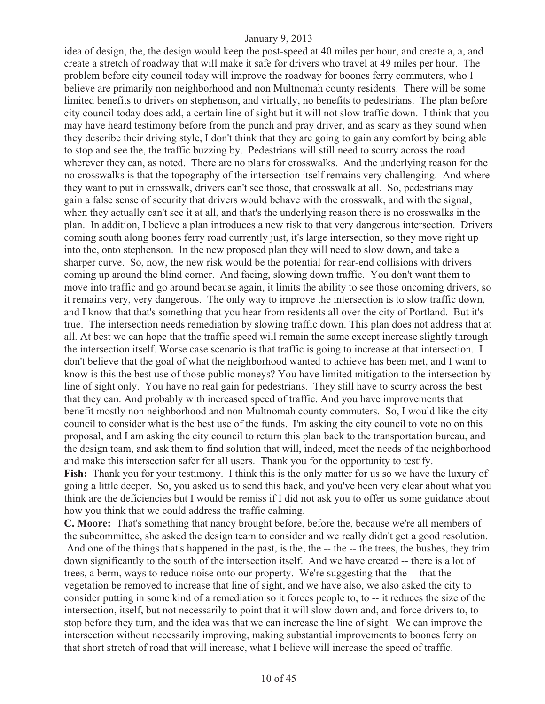idea of design, the, the design would keep the post-speed at 40 miles per hour, and create a, a, and create a stretch of roadway that will make it safe for drivers who travel at 49 miles per hour. The problem before city council today will improve the roadway for boones ferry commuters, who I believe are primarily non neighborhood and non Multnomah county residents. There will be some limited benefits to drivers on stephenson, and virtually, no benefits to pedestrians. The plan before city council today does add, a certain line of sight but it will not slow traffic down. I think that you may have heard testimony before from the punch and pray driver, and as scary as they sound when they describe their driving style, I don't think that they are going to gain any comfort by being able to stop and see the, the traffic buzzing by. Pedestrians will still need to scurry across the road wherever they can, as noted. There are no plans for crosswalks. And the underlying reason for the no crosswalks is that the topography of the intersection itself remains very challenging. And where they want to put in crosswalk, drivers can't see those, that crosswalk at all. So, pedestrians may gain a false sense of security that drivers would behave with the crosswalk, and with the signal, when they actually can't see it at all, and that's the underlying reason there is no crosswalks in the plan. In addition, I believe a plan introduces a new risk to that very dangerous intersection. Drivers coming south along boones ferry road currently just, it's large intersection, so they move right up into the, onto stephenson. In the new proposed plan they will need to slow down, and take a sharper curve. So, now, the new risk would be the potential for rear-end collisions with drivers coming up around the blind corner. And facing, slowing down traffic. You don't want them to move into traffic and go around because again, it limits the ability to see those oncoming drivers, so it remains very, very dangerous. The only way to improve the intersection is to slow traffic down, and I know that that's something that you hear from residents all over the city of Portland. But it's true. The intersection needs remediation by slowing traffic down. This plan does not address that at all. At best we can hope that the traffic speed will remain the same except increase slightly through the intersection itself. Worse case scenario is that traffic is going to increase at that intersection. I don't believe that the goal of what the neighborhood wanted to achieve has been met, and I want to know is this the best use of those public moneys? You have limited mitigation to the intersection by line of sight only. You have no real gain for pedestrians. They still have to scurry across the best that they can. And probably with increased speed of traffic. And you have improvements that benefit mostly non neighborhood and non Multnomah county commuters. So, I would like the city council to consider what is the best use of the funds. I'm asking the city council to vote no on this proposal, and I am asking the city council to return this plan back to the transportation bureau, and the design team, and ask them to find solution that will, indeed, meet the needs of the neighborhood and make this intersection safer for all users. Thank you for the opportunity to testify. **Fish:** Thank you for your testimony. I think this is the only matter for us so we have the luxury of going a little deeper. So, you asked us to send this back, and you've been very clear about what you think are the deficiencies but I would be remiss if I did not ask you to offer us some guidance about how you think that we could address the traffic calming.

**C. Moore:** That's something that nancy brought before, before the, because we're all members of the subcommittee, she asked the design team to consider and we really didn't get a good resolution. And one of the things that's happened in the past, is the, the -- the -- the trees, the bushes, they trim down significantly to the south of the intersection itself. And we have created -- there is a lot of trees, a berm, ways to reduce noise onto our property. We're suggesting that the -- that the vegetation be removed to increase that line of sight, and we have also, we also asked the city to consider putting in some kind of a remediation so it forces people to, to -- it reduces the size of the intersection, itself, but not necessarily to point that it will slow down and, and force drivers to, to stop before they turn, and the idea was that we can increase the line of sight. We can improve the intersection without necessarily improving, making substantial improvements to boones ferry on that short stretch of road that will increase, what I believe will increase the speed of traffic.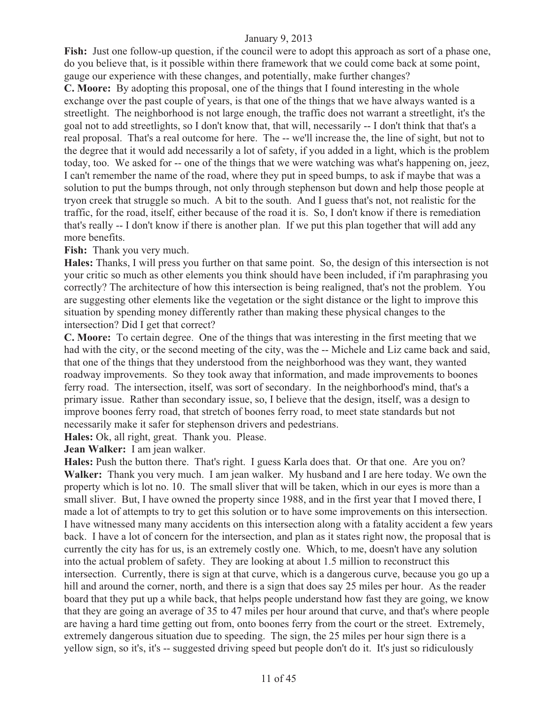**Fish:** Just one follow-up question, if the council were to adopt this approach as sort of a phase one, do you believe that, is it possible within there framework that we could come back at some point, gauge our experience with these changes, and potentially, make further changes?

**C. Moore:** By adopting this proposal, one of the things that I found interesting in the whole exchange over the past couple of years, is that one of the things that we have always wanted is a streetlight. The neighborhood is not large enough, the traffic does not warrant a streetlight, it's the goal not to add streetlights, so I don't know that, that will, necessarily -- I don't think that that's a real proposal. That's a real outcome for here. The -- we'll increase the, the line of sight, but not to the degree that it would add necessarily a lot of safety, if you added in a light, which is the problem today, too. We asked for -- one of the things that we were watching was what's happening on, jeez, I can't remember the name of the road, where they put in speed bumps, to ask if maybe that was a solution to put the bumps through, not only through stephenson but down and help those people at tryon creek that struggle so much. A bit to the south. And I guess that's not, not realistic for the traffic, for the road, itself, either because of the road it is. So, I don't know if there is remediation that's really -- I don't know if there is another plan. If we put this plan together that will add any more benefits.

**Fish:** Thank you very much.

**Hales:** Thanks, I will press you further on that same point. So, the design of this intersection is not your critic so much as other elements you think should have been included, if i'm paraphrasing you correctly? The architecture of how this intersection is being realigned, that's not the problem. You are suggesting other elements like the vegetation or the sight distance or the light to improve this situation by spending money differently rather than making these physical changes to the intersection? Did I get that correct?

**C. Moore:** To certain degree. One of the things that was interesting in the first meeting that we had with the city, or the second meeting of the city, was the -- Michele and Liz came back and said, that one of the things that they understood from the neighborhood was they want, they wanted roadway improvements. So they took away that information, and made improvements to boones ferry road. The intersection, itself, was sort of secondary. In the neighborhood's mind, that's a primary issue. Rather than secondary issue, so, I believe that the design, itself, was a design to improve boones ferry road, that stretch of boones ferry road, to meet state standards but not necessarily make it safer for stephenson drivers and pedestrians.

**Hales:** Ok, all right, great. Thank you. Please.

**Jean Walker:** I am jean walker.

**Hales:** Push the button there. That's right. I guess Karla does that. Or that one. Are you on? **Walker:** Thank you very much. I am jean walker. My husband and I are here today. We own the property which is lot no. 10. The small sliver that will be taken, which in our eyes is more than a small sliver. But, I have owned the property since 1988, and in the first year that I moved there, I made a lot of attempts to try to get this solution or to have some improvements on this intersection. I have witnessed many many accidents on this intersection along with a fatality accident a few years back. I have a lot of concern for the intersection, and plan as it states right now, the proposal that is currently the city has for us, is an extremely costly one. Which, to me, doesn't have any solution into the actual problem of safety. They are looking at about 1.5 million to reconstruct this intersection. Currently, there is sign at that curve, which is a dangerous curve, because you go up a hill and around the corner, north, and there is a sign that does say 25 miles per hour. As the reader board that they put up a while back, that helps people understand how fast they are going, we know that they are going an average of 35 to 47 miles per hour around that curve, and that's where people are having a hard time getting out from, onto boones ferry from the court or the street. Extremely, extremely dangerous situation due to speeding. The sign, the 25 miles per hour sign there is a yellow sign, so it's, it's -- suggested driving speed but people don't do it. It's just so ridiculously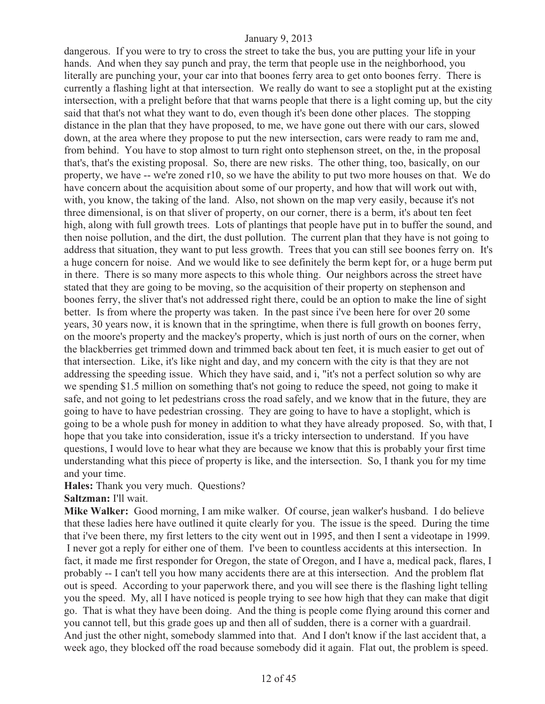dangerous. If you were to try to cross the street to take the bus, you are putting your life in your hands. And when they say punch and pray, the term that people use in the neighborhood, you literally are punching your, your car into that boones ferry area to get onto boones ferry. There is currently a flashing light at that intersection. We really do want to see a stoplight put at the existing intersection, with a prelight before that that warns people that there is a light coming up, but the city said that that's not what they want to do, even though it's been done other places. The stopping distance in the plan that they have proposed, to me, we have gone out there with our cars, slowed down, at the area where they propose to put the new intersection, cars were ready to ram me and, from behind. You have to stop almost to turn right onto stephenson street, on the, in the proposal that's, that's the existing proposal. So, there are new risks. The other thing, too, basically, on our property, we have -- we're zoned r10, so we have the ability to put two more houses on that. We do have concern about the acquisition about some of our property, and how that will work out with, with, you know, the taking of the land. Also, not shown on the map very easily, because it's not three dimensional, is on that sliver of property, on our corner, there is a berm, it's about ten feet high, along with full growth trees. Lots of plantings that people have put in to buffer the sound, and then noise pollution, and the dirt, the dust pollution. The current plan that they have is not going to address that situation, they want to put less growth. Trees that you can still see boones ferry on. It's a huge concern for noise. And we would like to see definitely the berm kept for, or a huge berm put in there. There is so many more aspects to this whole thing. Our neighbors across the street have stated that they are going to be moving, so the acquisition of their property on stephenson and boones ferry, the sliver that's not addressed right there, could be an option to make the line of sight better. Is from where the property was taken. In the past since i've been here for over 20 some years, 30 years now, it is known that in the springtime, when there is full growth on boones ferry, on the moore's property and the mackey's property, which is just north of ours on the corner, when the blackberries get trimmed down and trimmed back about ten feet, it is much easier to get out of that intersection. Like, it's like night and day, and my concern with the city is that they are not addressing the speeding issue. Which they have said, and i, "it's not a perfect solution so why are we spending \$1.5 million on something that's not going to reduce the speed, not going to make it safe, and not going to let pedestrians cross the road safely, and we know that in the future, they are going to have to have pedestrian crossing. They are going to have to have a stoplight, which is going to be a whole push for money in addition to what they have already proposed. So, with that, I hope that you take into consideration, issue it's a tricky intersection to understand. If you have questions, I would love to hear what they are because we know that this is probably your first time understanding what this piece of property is like, and the intersection. So, I thank you for my time and your time.

**Hales:** Thank you very much. Questions?

**Saltzman:** I'll wait.

**Mike Walker:** Good morning, I am mike walker. Of course, jean walker's husband. I do believe that these ladies here have outlined it quite clearly for you. The issue is the speed. During the time that i've been there, my first letters to the city went out in 1995, and then I sent a videotape in 1999. I never got a reply for either one of them. I've been to countless accidents at this intersection. In fact, it made me first responder for Oregon, the state of Oregon, and I have a, medical pack, flares, I probably -- I can't tell you how many accidents there are at this intersection. And the problem flat out is speed. According to your paperwork there, and you will see there is the flashing light telling you the speed. My, all I have noticed is people trying to see how high that they can make that digit go. That is what they have been doing. And the thing is people come flying around this corner and you cannot tell, but this grade goes up and then all of sudden, there is a corner with a guardrail. And just the other night, somebody slammed into that. And I don't know if the last accident that, a week ago, they blocked off the road because somebody did it again. Flat out, the problem is speed.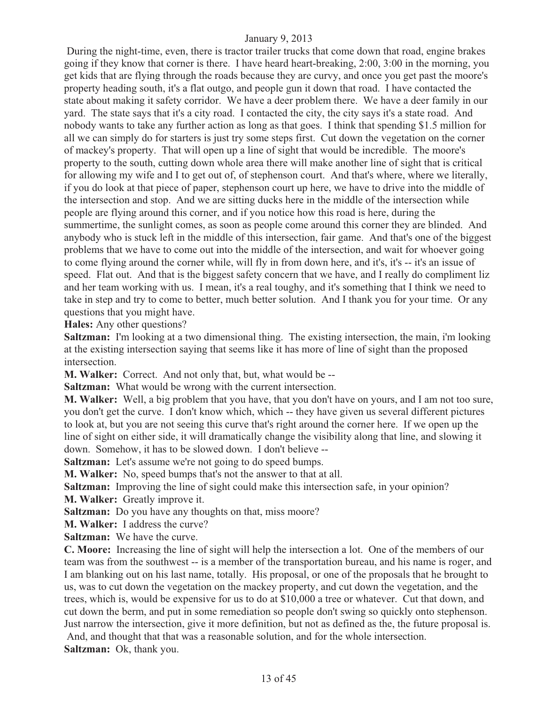During the night-time, even, there is tractor trailer trucks that come down that road, engine brakes going if they know that corner is there. I have heard heart-breaking, 2:00, 3:00 in the morning, you get kids that are flying through the roads because they are curvy, and once you get past the moore's property heading south, it's a flat outgo, and people gun it down that road. I have contacted the state about making it safety corridor. We have a deer problem there. We have a deer family in our yard. The state says that it's a city road. I contacted the city, the city says it's a state road. And nobody wants to take any further action as long as that goes. I think that spending \$1.5 million for all we can simply do for starters is just try some steps first. Cut down the vegetation on the corner of mackey's property. That will open up a line of sight that would be incredible. The moore's property to the south, cutting down whole area there will make another line of sight that is critical for allowing my wife and I to get out of, of stephenson court. And that's where, where we literally, if you do look at that piece of paper, stephenson court up here, we have to drive into the middle of the intersection and stop. And we are sitting ducks here in the middle of the intersection while people are flying around this corner, and if you notice how this road is here, during the summertime, the sunlight comes, as soon as people come around this corner they are blinded. And anybody who is stuck left in the middle of this intersection, fair game. And that's one of the biggest problems that we have to come out into the middle of the intersection, and wait for whoever going to come flying around the corner while, will fly in from down here, and it's, it's -- it's an issue of speed. Flat out. And that is the biggest safety concern that we have, and I really do compliment liz and her team working with us. I mean, it's a real toughy, and it's something that I think we need to take in step and try to come to better, much better solution. And I thank you for your time. Or any questions that you might have.

**Hales:** Any other questions?

**Saltzman:** I'm looking at a two dimensional thing. The existing intersection, the main, i'm looking at the existing intersection saying that seems like it has more of line of sight than the proposed intersection.

**M. Walker:** Correct. And not only that, but, what would be --

**Saltzman:** What would be wrong with the current intersection.

**M. Walker:** Well, a big problem that you have, that you don't have on yours, and I am not too sure, you don't get the curve. I don't know which, which -- they have given us several different pictures to look at, but you are not seeing this curve that's right around the corner here. If we open up the line of sight on either side, it will dramatically change the visibility along that line, and slowing it down. Somehow, it has to be slowed down. I don't believe --

**Saltzman:** Let's assume we're not going to do speed bumps.

**M. Walker:** No, speed bumps that's not the answer to that at all.

**Saltzman:** Improving the line of sight could make this intersection safe, in your opinion? **M. Walker:** Greatly improve it.

**Saltzman:** Do you have any thoughts on that, miss moore?

**M. Walker:** I address the curve?

**Saltzman:** We have the curve.

**C. Moore:** Increasing the line of sight will help the intersection a lot. One of the members of our team was from the southwest -- is a member of the transportation bureau, and his name is roger, and I am blanking out on his last name, totally. His proposal, or one of the proposals that he brought to us, was to cut down the vegetation on the mackey property, and cut down the vegetation, and the trees, which is, would be expensive for us to do at \$10,000 a tree or whatever. Cut that down, and cut down the berm, and put in some remediation so people don't swing so quickly onto stephenson. Just narrow the intersection, give it more definition, but not as defined as the, the future proposal is.

 And, and thought that that was a reasonable solution, and for the whole intersection. **Saltzman:** Ok, thank you.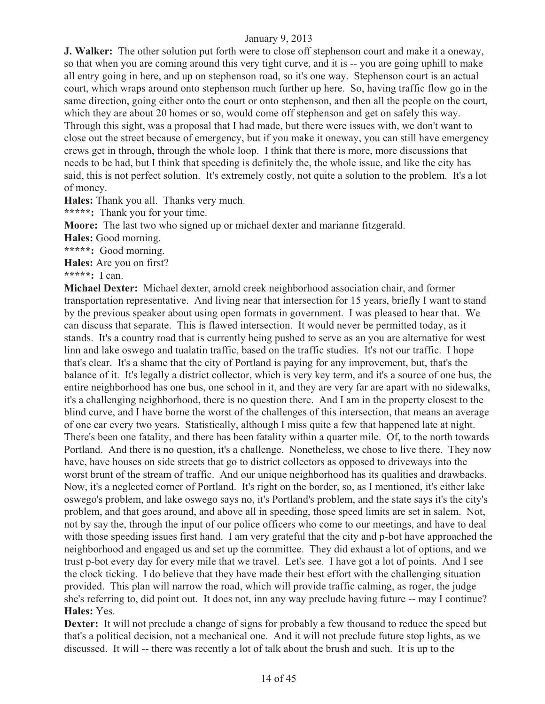**J. Walker:** The other solution put forth were to close off stephenson court and make it a oneway, so that when you are coming around this very tight curve, and it is -- you are going uphill to make all entry going in here, and up on stephenson road, so it's one way. Stephenson court is an actual court, which wraps around onto stephenson much further up here. So, having traffic flow go in the same direction, going either onto the court or onto stephenson, and then all the people on the court, which they are about 20 homes or so, would come off stephenson and get on safely this way. Through this sight, was a proposal that I had made, but there were issues with, we don't want to close out the street because of emergency, but if you make it oneway, you can still have emergency crews get in through, through the whole loop. I think that there is more, more discussions that needs to be had, but I think that speeding is definitely the, the whole issue, and like the city has said, this is not perfect solution. It's extremely costly, not quite a solution to the problem. It's a lot of money.

**Hales:** Thank you all. Thanks very much.

**\*\*\*\*\*:** Thank you for your time.

**Moore:** The last two who signed up or michael dexter and marianne fitzgerald.

**Hales:** Good morning.

**\*\*\*\*\*:** Good morning.

**Hales:** Are you on first?

**\*\*\*\*\*:** I can.

**Michael Dexter:** Michael dexter, arnold creek neighborhood association chair, and former transportation representative. And living near that intersection for 15 years, briefly I want to stand by the previous speaker about using open formats in government. I was pleased to hear that. We can discuss that separate. This is flawed intersection. It would never be permitted today, as it stands. It's a country road that is currently being pushed to serve as an you are alternative for west linn and lake oswego and tualatin traffic, based on the traffic studies. It's not our traffic. I hope that's clear. It's a shame that the city of Portland is paying for any improvement, but, that's the balance of it. It's legally a district collector, which is very key term, and it's a source of one bus, the entire neighborhood has one bus, one school in it, and they are very far are apart with no sidewalks, it's a challenging neighborhood, there is no question there. And I am in the property closest to the blind curve, and I have borne the worst of the challenges of this intersection, that means an average of one car every two years. Statistically, although I miss quite a few that happened late at night. There's been one fatality, and there has been fatality within a quarter mile. Of, to the north towards Portland. And there is no question, it's a challenge. Nonetheless, we chose to live there. They now have, have houses on side streets that go to district collectors as opposed to driveways into the worst brunt of the stream of traffic. And our unique neighborhood has its qualities and drawbacks. Now, it's a neglected corner of Portland. It's right on the border, so, as I mentioned, it's either lake oswego's problem, and lake oswego says no, it's Portland's problem, and the state says it's the city's problem, and that goes around, and above all in speeding, those speed limits are set in salem. Not, not by say the, through the input of our police officers who come to our meetings, and have to deal with those speeding issues first hand. I am very grateful that the city and p-bot have approached the neighborhood and engaged us and set up the committee. They did exhaust a lot of options, and we trust p-bot every day for every mile that we travel. Let's see. I have got a lot of points. And I see the clock ticking. I do believe that they have made their best effort with the challenging situation provided. This plan will narrow the road, which will provide traffic calming, as roger, the judge she's referring to, did point out. It does not, inn any way preclude having future -- may I continue? **Hales:** Yes.

**Dexter:** It will not preclude a change of signs for probably a few thousand to reduce the speed but that's a political decision, not a mechanical one. And it will not preclude future stop lights, as we discussed. It will -- there was recently a lot of talk about the brush and such. It is up to the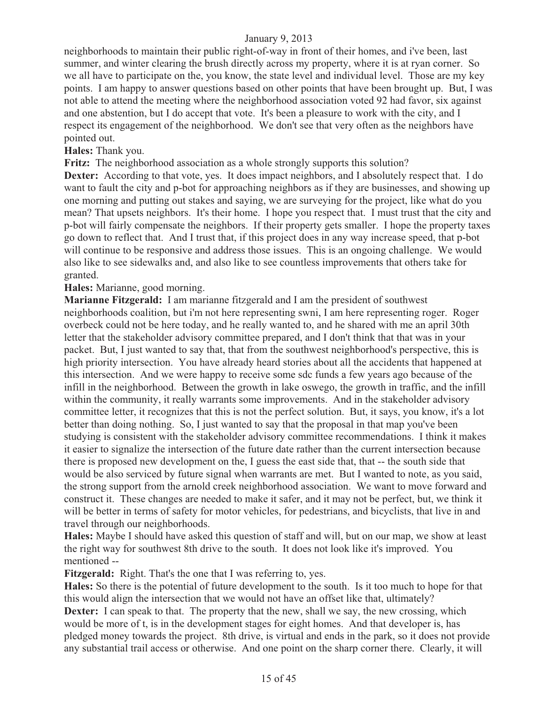neighborhoods to maintain their public right-of-way in front of their homes, and i've been, last summer, and winter clearing the brush directly across my property, where it is at ryan corner. So we all have to participate on the, you know, the state level and individual level. Those are my key points. I am happy to answer questions based on other points that have been brought up. But, I was not able to attend the meeting where the neighborhood association voted 92 had favor, six against and one abstention, but I do accept that vote. It's been a pleasure to work with the city, and I respect its engagement of the neighborhood. We don't see that very often as the neighbors have pointed out.

**Hales:** Thank you.

**Fritz:** The neighborhood association as a whole strongly supports this solution?

**Dexter:** According to that vote, yes. It does impact neighbors, and I absolutely respect that. I do want to fault the city and p-bot for approaching neighbors as if they are businesses, and showing up one morning and putting out stakes and saying, we are surveying for the project, like what do you mean? That upsets neighbors. It's their home. I hope you respect that. I must trust that the city and p-bot will fairly compensate the neighbors. If their property gets smaller. I hope the property taxes go down to reflect that. And I trust that, if this project does in any way increase speed, that p-bot will continue to be responsive and address those issues. This is an ongoing challenge. We would also like to see sidewalks and, and also like to see countless improvements that others take for granted.

**Hales:** Marianne, good morning.

**Marianne Fitzgerald:** I am marianne fitzgerald and I am the president of southwest neighborhoods coalition, but i'm not here representing swni, I am here representing roger. Roger overbeck could not be here today, and he really wanted to, and he shared with me an april 30th letter that the stakeholder advisory committee prepared, and I don't think that that was in your packet. But, I just wanted to say that, that from the southwest neighborhood's perspective, this is high priority intersection. You have already heard stories about all the accidents that happened at this intersection. And we were happy to receive some sdc funds a few years ago because of the infill in the neighborhood. Between the growth in lake oswego, the growth in traffic, and the infill within the community, it really warrants some improvements. And in the stakeholder advisory committee letter, it recognizes that this is not the perfect solution. But, it says, you know, it's a lot better than doing nothing. So, I just wanted to say that the proposal in that map you've been studying is consistent with the stakeholder advisory committee recommendations. I think it makes it easier to signalize the intersection of the future date rather than the current intersection because there is proposed new development on the, I guess the east side that, that -- the south side that would be also serviced by future signal when warrants are met. But I wanted to note, as you said, the strong support from the arnold creek neighborhood association. We want to move forward and construct it. These changes are needed to make it safer, and it may not be perfect, but, we think it will be better in terms of safety for motor vehicles, for pedestrians, and bicyclists, that live in and travel through our neighborhoods.

**Hales:** Maybe I should have asked this question of staff and will, but on our map, we show at least the right way for southwest 8th drive to the south. It does not look like it's improved. You mentioned --

**Fitzgerald:** Right. That's the one that I was referring to, yes.

**Hales:** So there is the potential of future development to the south. Is it too much to hope for that this would align the intersection that we would not have an offset like that, ultimately? **Dexter:** I can speak to that. The property that the new, shall we say, the new crossing, which would be more of t, is in the development stages for eight homes. And that developer is, has pledged money towards the project. 8th drive, is virtual and ends in the park, so it does not provide any substantial trail access or otherwise. And one point on the sharp corner there. Clearly, it will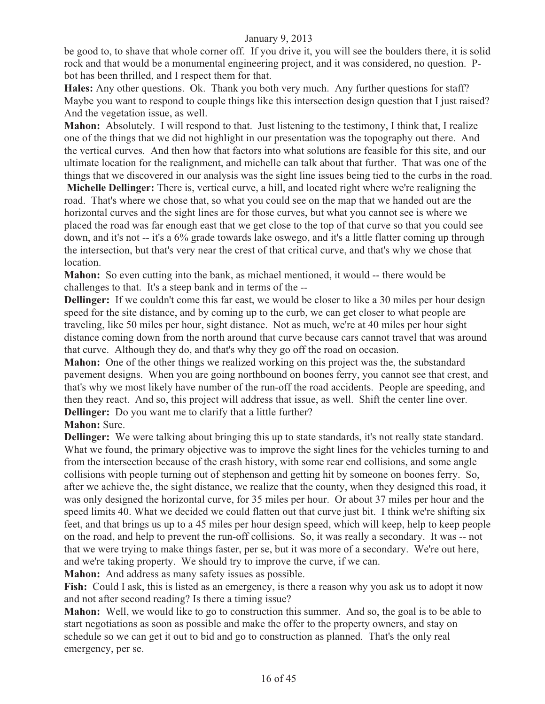be good to, to shave that whole corner off. If you drive it, you will see the boulders there, it is solid rock and that would be a monumental engineering project, and it was considered, no question. Pbot has been thrilled, and I respect them for that.

**Hales:** Any other questions. Ok. Thank you both very much. Any further questions for staff? Maybe you want to respond to couple things like this intersection design question that I just raised? And the vegetation issue, as well.

**Mahon:** Absolutely. I will respond to that. Just listening to the testimony, I think that, I realize one of the things that we did not highlight in our presentation was the topography out there. And the vertical curves. And then how that factors into what solutions are feasible for this site, and our ultimate location for the realignment, and michelle can talk about that further. That was one of the things that we discovered in our analysis was the sight line issues being tied to the curbs in the road.

**Michelle Dellinger:** There is, vertical curve, a hill, and located right where we're realigning the road. That's where we chose that, so what you could see on the map that we handed out are the horizontal curves and the sight lines are for those curves, but what you cannot see is where we placed the road was far enough east that we get close to the top of that curve so that you could see down, and it's not -- it's a 6% grade towards lake oswego, and it's a little flatter coming up through the intersection, but that's very near the crest of that critical curve, and that's why we chose that location.

**Mahon:** So even cutting into the bank, as michael mentioned, it would -- there would be challenges to that. It's a steep bank and in terms of the --

**Dellinger:** If we couldn't come this far east, we would be closer to like a 30 miles per hour design speed for the site distance, and by coming up to the curb, we can get closer to what people are traveling, like 50 miles per hour, sight distance. Not as much, we're at 40 miles per hour sight distance coming down from the north around that curve because cars cannot travel that was around that curve. Although they do, and that's why they go off the road on occasion.

**Mahon:** One of the other things we realized working on this project was the, the substandard pavement designs. When you are going northbound on boones ferry, you cannot see that crest, and that's why we most likely have number of the run-off the road accidents. People are speeding, and then they react. And so, this project will address that issue, as well. Shift the center line over. **Dellinger:** Do you want me to clarify that a little further?

# **Mahon:** Sure.

**Dellinger:** We were talking about bringing this up to state standards, it's not really state standard. What we found, the primary objective was to improve the sight lines for the vehicles turning to and from the intersection because of the crash history, with some rear end collisions, and some angle collisions with people turning out of stephenson and getting hit by someone on boones ferry. So, after we achieve the, the sight distance, we realize that the county, when they designed this road, it was only designed the horizontal curve, for 35 miles per hour. Or about 37 miles per hour and the speed limits 40. What we decided we could flatten out that curve just bit. I think we're shifting six feet, and that brings us up to a 45 miles per hour design speed, which will keep, help to keep people on the road, and help to prevent the run-off collisions. So, it was really a secondary. It was -- not that we were trying to make things faster, per se, but it was more of a secondary. We're out here, and we're taking property. We should try to improve the curve, if we can.

**Mahon:** And address as many safety issues as possible.

Fish: Could I ask, this is listed as an emergency, is there a reason why you ask us to adopt it now and not after second reading? Is there a timing issue?

**Mahon:** Well, we would like to go to construction this summer. And so, the goal is to be able to start negotiations as soon as possible and make the offer to the property owners, and stay on schedule so we can get it out to bid and go to construction as planned. That's the only real emergency, per se.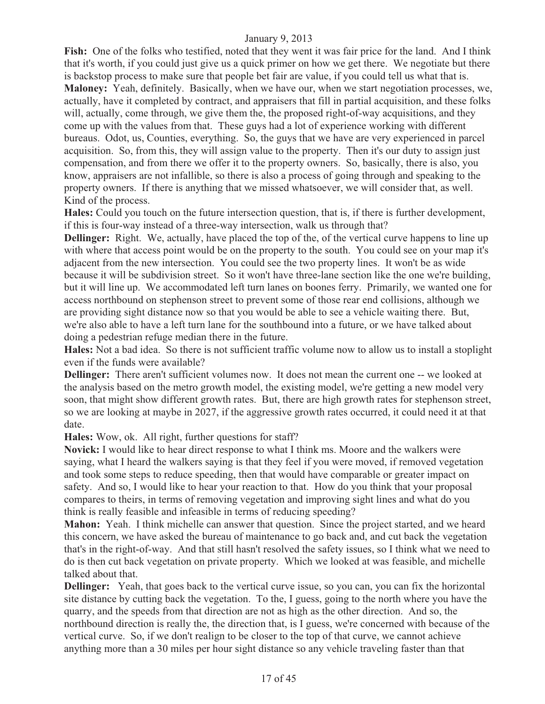**Fish:** One of the folks who testified, noted that they went it was fair price for the land. And I think that it's worth, if you could just give us a quick primer on how we get there. We negotiate but there is backstop process to make sure that people bet fair are value, if you could tell us what that is. **Maloney:** Yeah, definitely. Basically, when we have our, when we start negotiation processes, we, actually, have it completed by contract, and appraisers that fill in partial acquisition, and these folks will, actually, come through, we give them the, the proposed right-of-way acquisitions, and they come up with the values from that. These guys had a lot of experience working with different bureaus. Odot, us, Counties, everything. So, the guys that we have are very experienced in parcel acquisition. So, from this, they will assign value to the property. Then it's our duty to assign just compensation, and from there we offer it to the property owners. So, basically, there is also, you know, appraisers are not infallible, so there is also a process of going through and speaking to the property owners. If there is anything that we missed whatsoever, we will consider that, as well. Kind of the process.

**Hales:** Could you touch on the future intersection question, that is, if there is further development, if this is four-way instead of a three-way intersection, walk us through that?

**Dellinger:** Right. We, actually, have placed the top of the, of the vertical curve happens to line up with where that access point would be on the property to the south. You could see on your map it's adjacent from the new intersection. You could see the two property lines. It won't be as wide because it will be subdivision street. So it won't have three-lane section like the one we're building, but it will line up. We accommodated left turn lanes on boones ferry. Primarily, we wanted one for access northbound on stephenson street to prevent some of those rear end collisions, although we are providing sight distance now so that you would be able to see a vehicle waiting there. But, we're also able to have a left turn lane for the southbound into a future, or we have talked about doing a pedestrian refuge median there in the future.

**Hales:** Not a bad idea. So there is not sufficient traffic volume now to allow us to install a stoplight even if the funds were available?

**Dellinger:** There aren't sufficient volumes now. It does not mean the current one -- we looked at the analysis based on the metro growth model, the existing model, we're getting a new model very soon, that might show different growth rates. But, there are high growth rates for stephenson street, so we are looking at maybe in 2027, if the aggressive growth rates occurred, it could need it at that date.

**Hales:** Wow, ok. All right, further questions for staff?

**Novick:** I would like to hear direct response to what I think ms. Moore and the walkers were saying, what I heard the walkers saying is that they feel if you were moved, if removed vegetation and took some steps to reduce speeding, then that would have comparable or greater impact on safety. And so, I would like to hear your reaction to that. How do you think that your proposal compares to theirs, in terms of removing vegetation and improving sight lines and what do you think is really feasible and infeasible in terms of reducing speeding?

**Mahon:** Yeah. I think michelle can answer that question. Since the project started, and we heard this concern, we have asked the bureau of maintenance to go back and, and cut back the vegetation that's in the right-of-way. And that still hasn't resolved the safety issues, so I think what we need to do is then cut back vegetation on private property. Which we looked at was feasible, and michelle talked about that.

**Dellinger:** Yeah, that goes back to the vertical curve issue, so you can, you can fix the horizontal site distance by cutting back the vegetation. To the, I guess, going to the north where you have the quarry, and the speeds from that direction are not as high as the other direction. And so, the northbound direction is really the, the direction that, is I guess, we're concerned with because of the vertical curve. So, if we don't realign to be closer to the top of that curve, we cannot achieve anything more than a 30 miles per hour sight distance so any vehicle traveling faster than that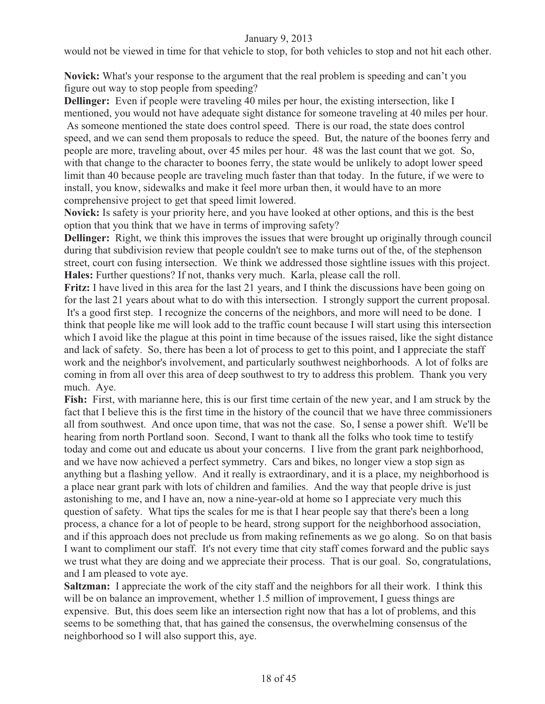would not be viewed in time for that vehicle to stop, for both vehicles to stop and not hit each other.

**Novick:** What's your response to the argument that the real problem is speeding and can't you figure out way to stop people from speeding?

**Dellinger:** Even if people were traveling 40 miles per hour, the existing intersection, like I mentioned, you would not have adequate sight distance for someone traveling at 40 miles per hour.

 As someone mentioned the state does control speed. There is our road, the state does control speed, and we can send them proposals to reduce the speed. But, the nature of the boones ferry and people are more, traveling about, over 45 miles per hour. 48 was the last count that we got. So, with that change to the character to boones ferry, the state would be unlikely to adopt lower speed limit than 40 because people are traveling much faster than that today. In the future, if we were to install, you know, sidewalks and make it feel more urban then, it would have to an more comprehensive project to get that speed limit lowered.

**Novick:** Is safety is your priority here, and you have looked at other options, and this is the best option that you think that we have in terms of improving safety?

**Dellinger:** Right, we think this improves the issues that were brought up originally through council during that subdivision review that people couldn't see to make turns out of the, of the stephenson street, court con fusing intersection. We think we addressed those sightline issues with this project. **Hales:** Further questions? If not, thanks very much. Karla, please call the roll.

**Fritz:** I have lived in this area for the last 21 years, and I think the discussions have been going on for the last 21 years about what to do with this intersection. I strongly support the current proposal. It's a good first step. I recognize the concerns of the neighbors, and more will need to be done. I think that people like me will look add to the traffic count because I will start using this intersection which I avoid like the plague at this point in time because of the issues raised, like the sight distance and lack of safety. So, there has been a lot of process to get to this point, and I appreciate the staff work and the neighbor's involvement, and particularly southwest neighborhoods. A lot of folks are coming in from all over this area of deep southwest to try to address this problem. Thank you very much. Aye.

**Fish:** First, with marianne here, this is our first time certain of the new year, and I am struck by the fact that I believe this is the first time in the history of the council that we have three commissioners all from southwest. And once upon time, that was not the case. So, I sense a power shift. We'll be hearing from north Portland soon. Second, I want to thank all the folks who took time to testify today and come out and educate us about your concerns. I live from the grant park neighborhood, and we have now achieved a perfect symmetry. Cars and bikes, no longer view a stop sign as anything but a flashing yellow. And it really is extraordinary, and it is a place, my neighborhood is a place near grant park with lots of children and families. And the way that people drive is just astonishing to me, and I have an, now a nine-year-old at home so I appreciate very much this question of safety. What tips the scales for me is that I hear people say that there's been a long process, a chance for a lot of people to be heard, strong support for the neighborhood association, and if this approach does not preclude us from making refinements as we go along. So on that basis I want to compliment our staff. It's not every time that city staff comes forward and the public says we trust what they are doing and we appreciate their process. That is our goal. So, congratulations, and I am pleased to vote aye.

**Saltzman:** I appreciate the work of the city staff and the neighbors for all their work. I think this will be on balance an improvement, whether 1.5 million of improvement, I guess things are expensive. But, this does seem like an intersection right now that has a lot of problems, and this seems to be something that, that has gained the consensus, the overwhelming consensus of the neighborhood so I will also support this, aye.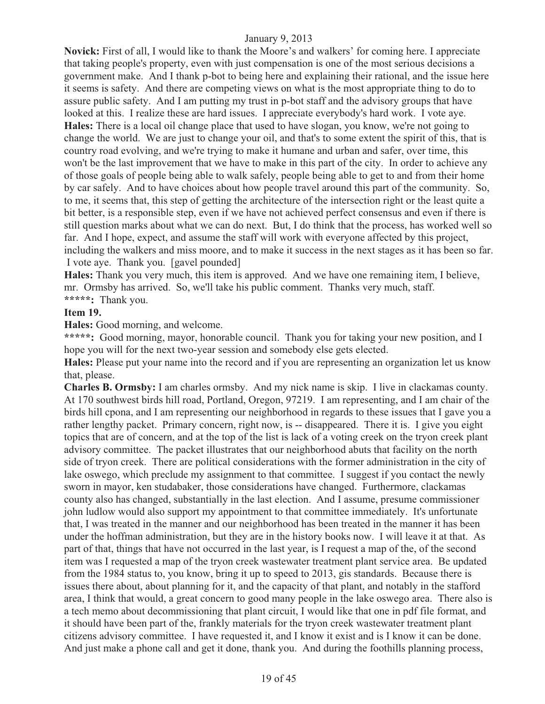**Novick:** First of all, I would like to thank the Moore's and walkers' for coming here. I appreciate that taking people's property, even with just compensation is one of the most serious decisions a government make. And I thank p-bot to being here and explaining their rational, and the issue here it seems is safety. And there are competing views on what is the most appropriate thing to do to assure public safety. And I am putting my trust in p-bot staff and the advisory groups that have looked at this. I realize these are hard issues. I appreciate everybody's hard work. I vote aye. **Hales:** There is a local oil change place that used to have slogan, you know, we're not going to change the world. We are just to change your oil, and that's to some extent the spirit of this, that is country road evolving, and we're trying to make it humane and urban and safer, over time, this won't be the last improvement that we have to make in this part of the city. In order to achieve any of those goals of people being able to walk safely, people being able to get to and from their home by car safely. And to have choices about how people travel around this part of the community. So, to me, it seems that, this step of getting the architecture of the intersection right or the least quite a bit better, is a responsible step, even if we have not achieved perfect consensus and even if there is still question marks about what we can do next. But, I do think that the process, has worked well so far. And I hope, expect, and assume the staff will work with everyone affected by this project, including the walkers and miss moore, and to make it success in the next stages as it has been so far. I vote aye. Thank you. [gavel pounded]

**Hales:** Thank you very much, this item is approved. And we have one remaining item, I believe, mr. Ormsby has arrived. So, we'll take his public comment. Thanks very much, staff. **\*\*\*\*\*:** Thank you.

#### **Item 19.**

**Hales:** Good morning, and welcome.

\*\*\*\*\*: Good morning, mayor, honorable council. Thank you for taking your new position, and I hope you will for the next two-year session and somebody else gets elected.

**Hales:** Please put your name into the record and if you are representing an organization let us know that, please.

**Charles B. Ormsby:** I am charles ormsby. And my nick name is skip. I live in clackamas county. At 170 southwest birds hill road, Portland, Oregon, 97219. I am representing, and I am chair of the birds hill cpona, and I am representing our neighborhood in regards to these issues that I gave you a rather lengthy packet. Primary concern, right now, is -- disappeared. There it is. I give you eight topics that are of concern, and at the top of the list is lack of a voting creek on the tryon creek plant advisory committee. The packet illustrates that our neighborhood abuts that facility on the north side of tryon creek. There are political considerations with the former administration in the city of lake oswego, which preclude my assignment to that committee. I suggest if you contact the newly sworn in mayor, ken studabaker, those considerations have changed. Furthermore, clackamas county also has changed, substantially in the last election. And I assume, presume commissioner john ludlow would also support my appointment to that committee immediately. It's unfortunate that, I was treated in the manner and our neighborhood has been treated in the manner it has been under the hoffman administration, but they are in the history books now. I will leave it at that. As part of that, things that have not occurred in the last year, is I request a map of the, of the second item was I requested a map of the tryon creek wastewater treatment plant service area. Be updated from the 1984 status to, you know, bring it up to speed to 2013, gis standards. Because there is issues there about, about planning for it, and the capacity of that plant, and notably in the stafford area, I think that would, a great concern to good many people in the lake oswego area. There also is a tech memo about decommissioning that plant circuit, I would like that one in pdf file format, and it should have been part of the, frankly materials for the tryon creek wastewater treatment plant citizens advisory committee. I have requested it, and I know it exist and is I know it can be done. And just make a phone call and get it done, thank you. And during the foothills planning process,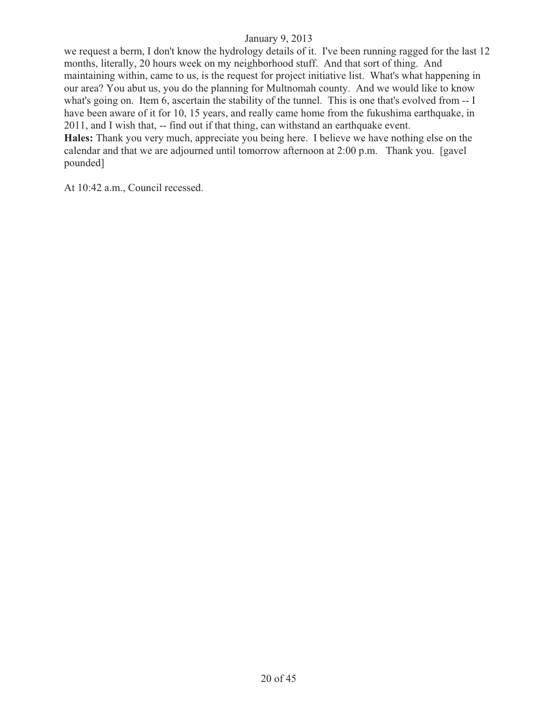we request a berm, I don't know the hydrology details of it. I've been running ragged for the last 12 months, literally, 20 hours week on my neighborhood stuff. And that sort of thing. And maintaining within, came to us, is the request for project initiative list. What's what happening in our area? You abut us, you do the planning for Multnomah county. And we would like to know what's going on. Item 6, ascertain the stability of the tunnel. This is one that's evolved from -- I have been aware of it for 10, 15 years, and really came home from the fukushima earthquake, in 2011, and I wish that, -- find out if that thing, can withstand an earthquake event. **Hales:** Thank you very much, appreciate you being here. I believe we have nothing else on the

calendar and that we are adjourned until tomorrow afternoon at 2:00 p.m. Thank you. [gavel pounded]

At 10:42 a.m., Council recessed.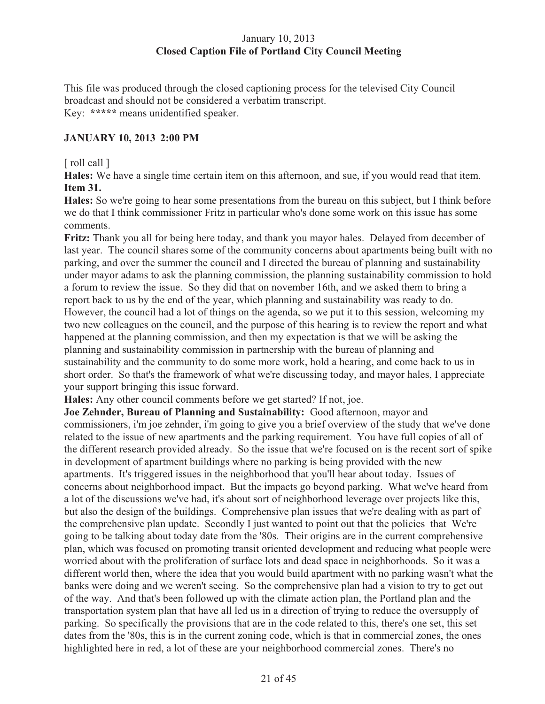# January 10, 2013 **Closed Caption File of Portland City Council Meeting**

This file was produced through the closed captioning process for the televised City Council broadcast and should not be considered a verbatim transcript. Key: **\*\*\*\*\*** means unidentified speaker.

# **JANUARY 10, 2013 2:00 PM**

# [ roll call ]

**Hales:** We have a single time certain item on this afternoon, and sue, if you would read that item. **Item 31.**

**Hales:** So we're going to hear some presentations from the bureau on this subject, but I think before we do that I think commissioner Fritz in particular who's done some work on this issue has some comments.

**Fritz:** Thank you all for being here today, and thank you mayor hales. Delayed from december of last year. The council shares some of the community concerns about apartments being built with no parking, and over the summer the council and I directed the bureau of planning and sustainability under mayor adams to ask the planning commission, the planning sustainability commission to hold a forum to review the issue. So they did that on november 16th, and we asked them to bring a report back to us by the end of the year, which planning and sustainability was ready to do. However, the council had a lot of things on the agenda, so we put it to this session, welcoming my two new colleagues on the council, and the purpose of this hearing is to review the report and what happened at the planning commission, and then my expectation is that we will be asking the planning and sustainability commission in partnership with the bureau of planning and sustainability and the community to do some more work, hold a hearing, and come back to us in short order. So that's the framework of what we're discussing today, and mayor hales, I appreciate your support bringing this issue forward.

**Hales:** Any other council comments before we get started? If not, joe.

**Joe Zehnder, Bureau of Planning and Sustainability:** Good afternoon, mayor and commissioners, i'm joe zehnder, i'm going to give you a brief overview of the study that we've done related to the issue of new apartments and the parking requirement. You have full copies of all of the different research provided already. So the issue that we're focused on is the recent sort of spike in development of apartment buildings where no parking is being provided with the new apartments. It's triggered issues in the neighborhood that you'll hear about today. Issues of concerns about neighborhood impact. But the impacts go beyond parking. What we've heard from a lot of the discussions we've had, it's about sort of neighborhood leverage over projects like this, but also the design of the buildings. Comprehensive plan issues that we're dealing with as part of the comprehensive plan update. Secondly I just wanted to point out that the policies that We're going to be talking about today date from the '80s. Their origins are in the current comprehensive plan, which was focused on promoting transit oriented development and reducing what people were worried about with the proliferation of surface lots and dead space in neighborhoods. So it was a different world then, where the idea that you would build apartment with no parking wasn't what the banks were doing and we weren't seeing. So the comprehensive plan had a vision to try to get out of the way. And that's been followed up with the climate action plan, the Portland plan and the transportation system plan that have all led us in a direction of trying to reduce the oversupply of parking. So specifically the provisions that are in the code related to this, there's one set, this set dates from the '80s, this is in the current zoning code, which is that in commercial zones, the ones highlighted here in red, a lot of these are your neighborhood commercial zones. There's no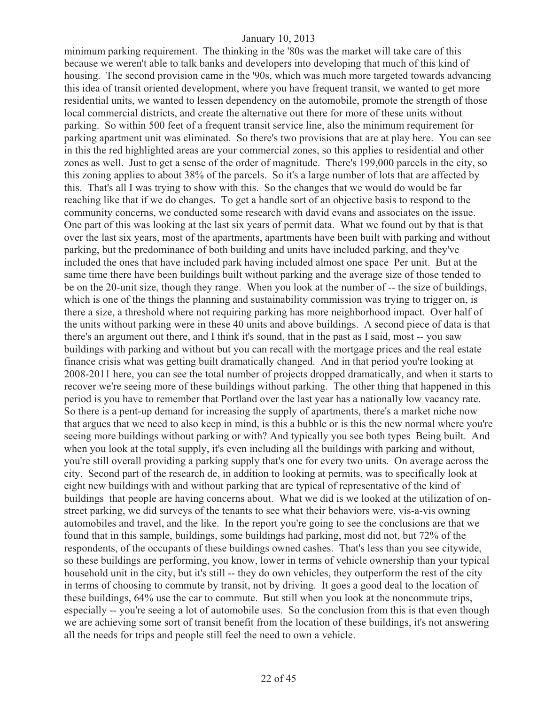minimum parking requirement. The thinking in the '80s was the market will take care of this because we weren't able to talk banks and developers into developing that much of this kind of housing. The second provision came in the '90s, which was much more targeted towards advancing this idea of transit oriented development, where you have frequent transit, we wanted to get more residential units, we wanted to lessen dependency on the automobile, promote the strength of those local commercial districts, and create the alternative out there for more of these units without parking. So within 500 feet of a frequent transit service line, also the minimum requirement for parking apartment unit was eliminated. So there's two provisions that are at play here. You can see in this the red highlighted areas are your commercial zones, so this applies to residential and other zones as well. Just to get a sense of the order of magnitude. There's 199,000 parcels in the city, so this zoning applies to about 38% of the parcels. So it's a large number of lots that are affected by this. That's all I was trying to show with this. So the changes that we would do would be far reaching like that if we do changes. To get a handle sort of an objective basis to respond to the community concerns, we conducted some research with david evans and associates on the issue. One part of this was looking at the last six years of permit data. What we found out by that is that over the last six years, most of the apartments, apartments have been built with parking and without parking, but the predominance of both building and units have included parking, and they've included the ones that have included park having included almost one space Per unit. But at the same time there have been buildings built without parking and the average size of those tended to be on the 20-unit size, though they range. When you look at the number of -- the size of buildings, which is one of the things the planning and sustainability commission was trying to trigger on, is there a size, a threshold where not requiring parking has more neighborhood impact. Over half of the units without parking were in these 40 units and above buildings. A second piece of data is that there's an argument out there, and I think it's sound, that in the past as I said, most -- you saw buildings with parking and without but you can recall with the mortgage prices and the real estate finance crisis what was getting built dramatically changed. And in that period you're looking at 2008-2011 here, you can see the total number of projects dropped dramatically, and when it starts to recover we're seeing more of these buildings without parking. The other thing that happened in this period is you have to remember that Portland over the last year has a nationally low vacancy rate. So there is a pent-up demand for increasing the supply of apartments, there's a market niche now that argues that we need to also keep in mind, is this a bubble or is this the new normal where you're seeing more buildings without parking or with? And typically you see both types Being built. And when you look at the total supply, it's even including all the buildings with parking and without, you're still overall providing a parking supply that's one for every two units. On average across the city. Second part of the research de, in addition to looking at permits, was to specifically look at eight new buildings with and without parking that are typical of representative of the kind of buildings that people are having concerns about. What we did is we looked at the utilization of onstreet parking, we did surveys of the tenants to see what their behaviors were, vis-a-vis owning automobiles and travel, and the like. In the report you're going to see the conclusions are that we found that in this sample, buildings, some buildings had parking, most did not, but 72% of the respondents, of the occupants of these buildings owned cashes. That's less than you see citywide, so these buildings are performing, you know, lower in terms of vehicle ownership than your typical household unit in the city, but it's still -- they do own vehicles, they outperform the rest of the city in terms of choosing to commute by transit, not by driving. It goes a good deal to the location of these buildings, 64% use the car to commute. But still when you look at the noncommute trips, especially -- you're seeing a lot of automobile uses. So the conclusion from this is that even though we are achieving some sort of transit benefit from the location of these buildings, it's not answering all the needs for trips and people still feel the need to own a vehicle.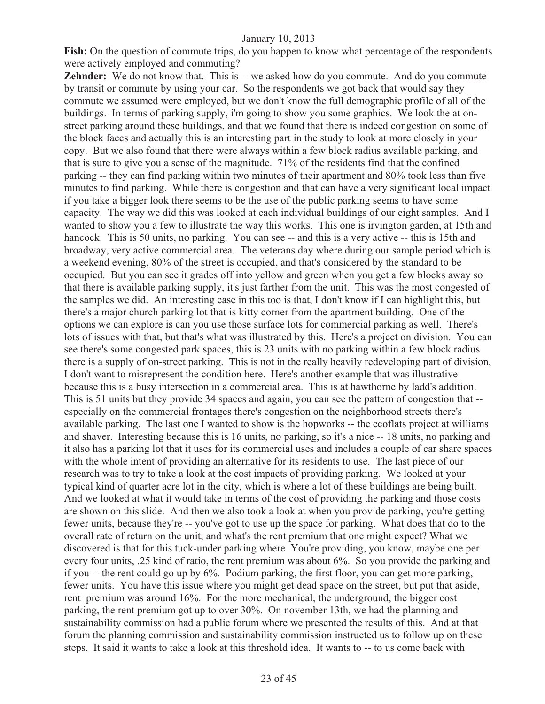Fish: On the question of commute trips, do you happen to know what percentage of the respondents were actively employed and commuting?

**Zehnder:** We do not know that. This is -- we asked how do you commute. And do you commute by transit or commute by using your car. So the respondents we got back that would say they commute we assumed were employed, but we don't know the full demographic profile of all of the buildings. In terms of parking supply, i'm going to show you some graphics. We look the at onstreet parking around these buildings, and that we found that there is indeed congestion on some of the block faces and actually this is an interesting part in the study to look at more closely in your copy. But we also found that there were always within a few block radius available parking, and that is sure to give you a sense of the magnitude. 71% of the residents find that the confined parking -- they can find parking within two minutes of their apartment and 80% took less than five minutes to find parking. While there is congestion and that can have a very significant local impact if you take a bigger look there seems to be the use of the public parking seems to have some capacity. The way we did this was looked at each individual buildings of our eight samples. And I wanted to show you a few to illustrate the way this works. This one is irvington garden, at 15th and hancock. This is 50 units, no parking. You can see -- and this is a very active -- this is 15th and broadway, very active commercial area. The veterans day where during our sample period which is a weekend evening, 80% of the street is occupied, and that's considered by the standard to be occupied. But you can see it grades off into yellow and green when you get a few blocks away so that there is available parking supply, it's just farther from the unit. This was the most congested of the samples we did. An interesting case in this too is that, I don't know if I can highlight this, but there's a major church parking lot that is kitty corner from the apartment building. One of the options we can explore is can you use those surface lots for commercial parking as well. There's lots of issues with that, but that's what was illustrated by this. Here's a project on division. You can see there's some congested park spaces, this is 23 units with no parking within a few block radius there is a supply of on-street parking. This is not in the really heavily redeveloping part of division, I don't want to misrepresent the condition here. Here's another example that was illustrative because this is a busy intersection in a commercial area. This is at hawthorne by ladd's addition. This is 51 units but they provide 34 spaces and again, you can see the pattern of congestion that - especially on the commercial frontages there's congestion on the neighborhood streets there's available parking. The last one I wanted to show is the hopworks -- the ecoflats project at williams and shaver. Interesting because this is 16 units, no parking, so it's a nice -- 18 units, no parking and it also has a parking lot that it uses for its commercial uses and includes a couple of car share spaces with the whole intent of providing an alternative for its residents to use. The last piece of our research was to try to take a look at the cost impacts of providing parking. We looked at your typical kind of quarter acre lot in the city, which is where a lot of these buildings are being built. And we looked at what it would take in terms of the cost of providing the parking and those costs are shown on this slide. And then we also took a look at when you provide parking, you're getting fewer units, because they're -- you've got to use up the space for parking. What does that do to the overall rate of return on the unit, and what's the rent premium that one might expect? What we discovered is that for this tuck-under parking where You're providing, you know, maybe one per every four units, .25 kind of ratio, the rent premium was about 6%. So you provide the parking and if you -- the rent could go up by 6%. Podium parking, the first floor, you can get more parking, fewer units. You have this issue where you might get dead space on the street, but put that aside, rent premium was around 16%. For the more mechanical, the underground, the bigger cost parking, the rent premium got up to over 30%. On november 13th, we had the planning and sustainability commission had a public forum where we presented the results of this. And at that forum the planning commission and sustainability commission instructed us to follow up on these steps. It said it wants to take a look at this threshold idea. It wants to -- to us come back with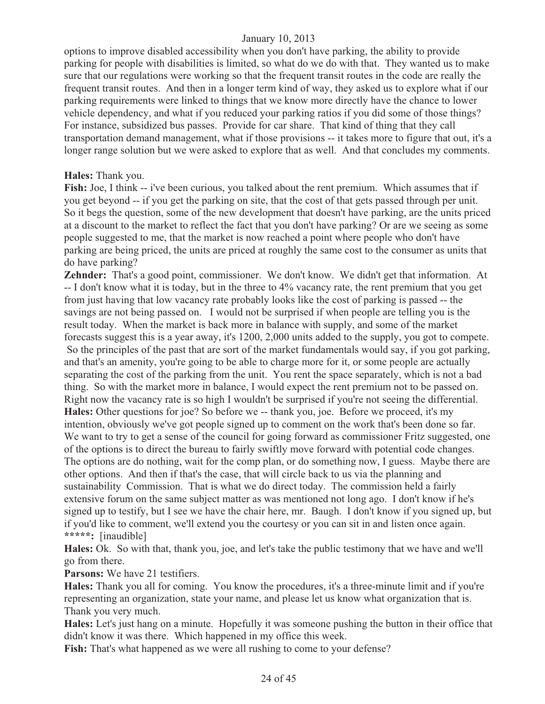options to improve disabled accessibility when you don't have parking, the ability to provide parking for people with disabilities is limited, so what do we do with that. They wanted us to make sure that our regulations were working so that the frequent transit routes in the code are really the frequent transit routes. And then in a longer term kind of way, they asked us to explore what if our parking requirements were linked to things that we know more directly have the chance to lower vehicle dependency, and what if you reduced your parking ratios if you did some of those things? For instance, subsidized bus passes. Provide for car share. That kind of thing that they call transportation demand management, what if those provisions -- it takes more to figure that out, it's a longer range solution but we were asked to explore that as well. And that concludes my comments.

#### **Hales:** Thank you.

**Fish:** Joe, I think -- i've been curious, you talked about the rent premium. Which assumes that if you get beyond -- if you get the parking on site, that the cost of that gets passed through per unit. So it begs the question, some of the new development that doesn't have parking, are the units priced at a discount to the market to reflect the fact that you don't have parking? Or are we seeing as some people suggested to me, that the market is now reached a point where people who don't have parking are being priced, the units are priced at roughly the same cost to the consumer as units that do have parking?

**Zehnder:** That's a good point, commissioner. We don't know. We didn't get that information. At -- I don't know what it is today, but in the three to 4% vacancy rate, the rent premium that you get from just having that low vacancy rate probably looks like the cost of parking is passed -- the savings are not being passed on. I would not be surprised if when people are telling you is the result today. When the market is back more in balance with supply, and some of the market forecasts suggest this is a year away, it's 1200, 2,000 units added to the supply, you got to compete. So the principles of the past that are sort of the market fundamentals would say, if you got parking, and that's an amenity, you're going to be able to charge more for it, or some people are actually separating the cost of the parking from the unit. You rent the space separately, which is not a bad thing. So with the market more in balance, I would expect the rent premium not to be passed on. Right now the vacancy rate is so high I wouldn't be surprised if you're not seeing the differential. **Hales:** Other questions for joe? So before we -- thank you, joe. Before we proceed, it's my intention, obviously we've got people signed up to comment on the work that's been done so far. We want to try to get a sense of the council for going forward as commissioner Fritz suggested, one of the options is to direct the bureau to fairly swiftly move forward with potential code changes. The options are do nothing, wait for the comp plan, or do something now, I guess. Maybe there are other options. And then if that's the case, that will circle back to us via the planning and sustainability Commission. That is what we do direct today. The commission held a fairly extensive forum on the same subject matter as was mentioned not long ago. I don't know if he's signed up to testify, but I see we have the chair here, mr. Baugh. I don't know if you signed up, but if you'd like to comment, we'll extend you the courtesy or you can sit in and listen once again. **\*\*\*\*\*:** [inaudible]

**Hales:** Ok. So with that, thank you, joe, and let's take the public testimony that we have and we'll go from there.

**Parsons:** We have 21 testifiers.

**Hales:** Thank you all for coming. You know the procedures, it's a three-minute limit and if you're representing an organization, state your name, and please let us know what organization that is. Thank you very much.

**Hales:** Let's just hang on a minute. Hopefully it was someone pushing the button in their office that didn't know it was there. Which happened in my office this week.

**Fish:** That's what happened as we were all rushing to come to your defense?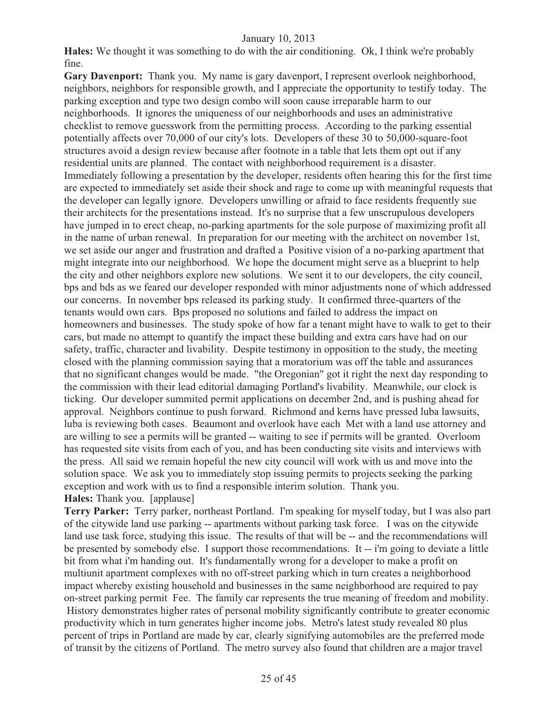**Hales:** We thought it was something to do with the air conditioning. Ok, I think we're probably fine.

**Gary Davenport:** Thank you. My name is gary davenport, I represent overlook neighborhood, neighbors, neighbors for responsible growth, and I appreciate the opportunity to testify today. The parking exception and type two design combo will soon cause irreparable harm to our neighborhoods. It ignores the uniqueness of our neighborhoods and uses an administrative checklist to remove guesswork from the permitting process. According to the parking essential potentially affects over 70,000 of our city's lots. Developers of these 30 to 50,000-square-foot structures avoid a design review because after footnote in a table that lets them opt out if any residential units are planned. The contact with neighborhood requirement is a disaster. Immediately following a presentation by the developer, residents often hearing this for the first time are expected to immediately set aside their shock and rage to come up with meaningful requests that the developer can legally ignore. Developers unwilling or afraid to face residents frequently sue their architects for the presentations instead. It's no surprise that a few unscrupulous developers have jumped in to erect cheap, no-parking apartments for the sole purpose of maximizing profit all in the name of urban renewal. In preparation for our meeting with the architect on november 1st, we set aside our anger and frustration and drafted a Positive vision of a no-parking apartment that might integrate into our neighborhood. We hope the document might serve as a blueprint to help the city and other neighbors explore new solutions. We sent it to our developers, the city council, bps and bds as we feared our developer responded with minor adjustments none of which addressed our concerns. In november bps released its parking study. It confirmed three-quarters of the tenants would own cars. Bps proposed no solutions and failed to address the impact on homeowners and businesses. The study spoke of how far a tenant might have to walk to get to their cars, but made no attempt to quantify the impact these building and extra cars have had on our safety, traffic, character and livability. Despite testimony in opposition to the study, the meeting closed with the planning commission saying that a moratorium was off the table and assurances that no significant changes would be made. "the Oregonian" got it right the next day responding to the commission with their lead editorial damaging Portland's livability. Meanwhile, our clock is ticking. Our developer summited permit applications on december 2nd, and is pushing ahead for approval. Neighbors continue to push forward. Richmond and kerns have pressed luba lawsuits, luba is reviewing both cases. Beaumont and overlook have each Met with a land use attorney and are willing to see a permits will be granted -- waiting to see if permits will be granted. Overloom has requested site visits from each of you, and has been conducting site visits and interviews with the press. All said we remain hopeful the new city council will work with us and move into the solution space. We ask you to immediately stop issuing permits to projects seeking the parking exception and work with us to find a responsible interim solution. Thank you. **Hales:** Thank you. [applause]

**Terry Parker:** Terry parker, northeast Portland. I'm speaking for myself today, but I was also part of the citywide land use parking -- apartments without parking task force. I was on the citywide land use task force, studying this issue. The results of that will be -- and the recommendations will be presented by somebody else. I support those recommendations. It -- i'm going to deviate a little bit from what i'm handing out. It's fundamentally wrong for a developer to make a profit on multiunit apartment complexes with no off-street parking which in turn creates a neighborhood impact whereby existing household and businesses in the same neighborhood are required to pay on-street parking permit Fee. The family car represents the true meaning of freedom and mobility. History demonstrates higher rates of personal mobility significantly contribute to greater economic productivity which in turn generates higher income jobs. Metro's latest study revealed 80 plus percent of trips in Portland are made by car, clearly signifying automobiles are the preferred mode of transit by the citizens of Portland. The metro survey also found that children are a major travel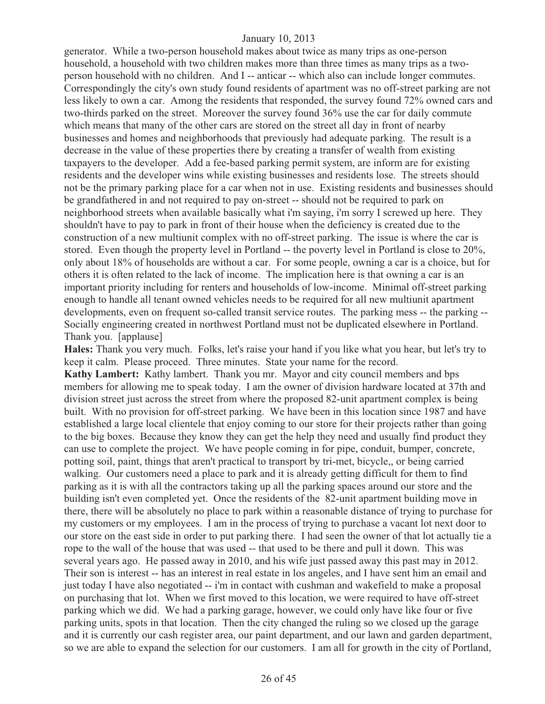generator. While a two-person household makes about twice as many trips as one-person household, a household with two children makes more than three times as many trips as a twoperson household with no children. And I -- anticar -- which also can include longer commutes. Correspondingly the city's own study found residents of apartment was no off-street parking are not less likely to own a car. Among the residents that responded, the survey found 72% owned cars and two-thirds parked on the street. Moreover the survey found 36% use the car for daily commute which means that many of the other cars are stored on the street all day in front of nearby businesses and homes and neighborhoods that previously had adequate parking. The result is a decrease in the value of these properties there by creating a transfer of wealth from existing taxpayers to the developer. Add a fee-based parking permit system, are inform are for existing residents and the developer wins while existing businesses and residents lose. The streets should not be the primary parking place for a car when not in use. Existing residents and businesses should be grandfathered in and not required to pay on-street -- should not be required to park on neighborhood streets when available basically what i'm saying, i'm sorry I screwed up here. They shouldn't have to pay to park in front of their house when the deficiency is created due to the construction of a new multiunit complex with no off-street parking. The issue is where the car is stored. Even though the property level in Portland -- the poverty level in Portland is close to 20%, only about 18% of households are without a car. For some people, owning a car is a choice, but for others it is often related to the lack of income. The implication here is that owning a car is an important priority including for renters and households of low-income. Minimal off-street parking enough to handle all tenant owned vehicles needs to be required for all new multiunit apartment developments, even on frequent so-called transit service routes. The parking mess -- the parking -- Socially engineering created in northwest Portland must not be duplicated elsewhere in Portland. Thank you. [applause]

**Hales:** Thank you very much. Folks, let's raise your hand if you like what you hear, but let's try to keep it calm. Please proceed. Three minutes. State your name for the record. **Kathy Lambert:** Kathy lambert. Thank you mr. Mayor and city council members and bps members for allowing me to speak today. I am the owner of division hardware located at 37th and division street just across the street from where the proposed 82-unit apartment complex is being built. With no provision for off-street parking. We have been in this location since 1987 and have established a large local clientele that enjoy coming to our store for their projects rather than going to the big boxes. Because they know they can get the help they need and usually find product they can use to complete the project. We have people coming in for pipe, conduit, bumper, concrete, potting soil, paint, things that aren't practical to transport by tri-met, bicycle,, or being carried walking. Our customers need a place to park and it is already getting difficult for them to find parking as it is with all the contractors taking up all the parking spaces around our store and the building isn't even completed yet. Once the residents of the 82-unit apartment building move in there, there will be absolutely no place to park within a reasonable distance of trying to purchase for my customers or my employees. I am in the process of trying to purchase a vacant lot next door to our store on the east side in order to put parking there. I had seen the owner of that lot actually tie a rope to the wall of the house that was used -- that used to be there and pull it down. This was several years ago. He passed away in 2010, and his wife just passed away this past may in 2012. Their son is interest -- has an interest in real estate in los angeles, and I have sent him an email and just today I have also negotiated -- i'm in contact with cushman and wakefield to make a proposal on purchasing that lot. When we first moved to this location, we were required to have off-street parking which we did. We had a parking garage, however, we could only have like four or five parking units, spots in that location. Then the city changed the ruling so we closed up the garage and it is currently our cash register area, our paint department, and our lawn and garden department, so we are able to expand the selection for our customers. I am all for growth in the city of Portland,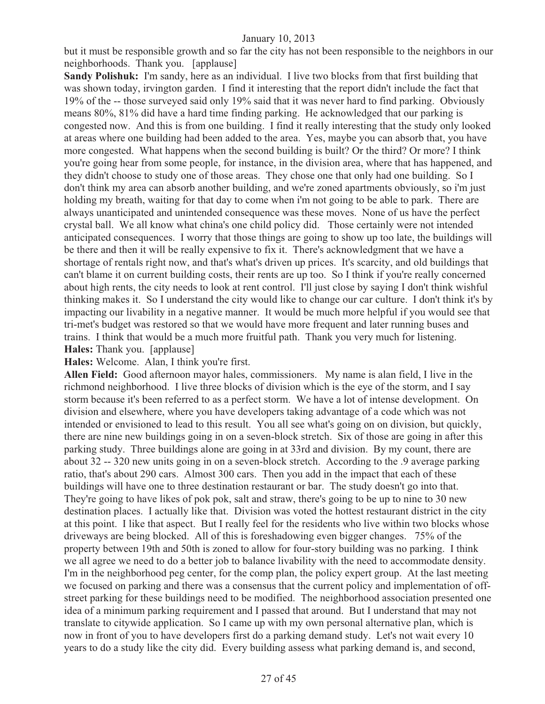but it must be responsible growth and so far the city has not been responsible to the neighbors in our neighborhoods. Thank you. [applause]

**Sandy Polishuk:** I'm sandy, here as an individual. I live two blocks from that first building that was shown today, irvington garden. I find it interesting that the report didn't include the fact that 19% of the -- those surveyed said only 19% said that it was never hard to find parking. Obviously means 80%, 81% did have a hard time finding parking. He acknowledged that our parking is congested now. And this is from one building. I find it really interesting that the study only looked at areas where one building had been added to the area. Yes, maybe you can absorb that, you have more congested. What happens when the second building is built? Or the third? Or more? I think you're going hear from some people, for instance, in the division area, where that has happened, and they didn't choose to study one of those areas. They chose one that only had one building. So I don't think my area can absorb another building, and we're zoned apartments obviously, so i'm just holding my breath, waiting for that day to come when i'm not going to be able to park. There are always unanticipated and unintended consequence was these moves. None of us have the perfect crystal ball. We all know what china's one child policy did. Those certainly were not intended anticipated consequences. I worry that those things are going to show up too late, the buildings will be there and then it will be really expensive to fix it. There's acknowledgment that we have a shortage of rentals right now, and that's what's driven up prices. It's scarcity, and old buildings that can't blame it on current building costs, their rents are up too. So I think if you're really concerned about high rents, the city needs to look at rent control. I'll just close by saying I don't think wishful thinking makes it. So I understand the city would like to change our car culture. I don't think it's by impacting our livability in a negative manner. It would be much more helpful if you would see that tri-met's budget was restored so that we would have more frequent and later running buses and trains. I think that would be a much more fruitful path. Thank you very much for listening. **Hales:** Thank you. [applause]

**Hales:** Welcome. Alan, I think you're first.

**Allen Field:** Good afternoon mayor hales, commissioners. My name is alan field, I live in the richmond neighborhood. I live three blocks of division which is the eye of the storm, and I say storm because it's been referred to as a perfect storm. We have a lot of intense development. On division and elsewhere, where you have developers taking advantage of a code which was not intended or envisioned to lead to this result. You all see what's going on on division, but quickly, there are nine new buildings going in on a seven-block stretch. Six of those are going in after this parking study. Three buildings alone are going in at 33rd and division. By my count, there are about 32 -- 320 new units going in on a seven-block stretch. According to the .9 average parking ratio, that's about 290 cars. Almost 300 cars. Then you add in the impact that each of these buildings will have one to three destination restaurant or bar. The study doesn't go into that. They're going to have likes of pok pok, salt and straw, there's going to be up to nine to 30 new destination places. I actually like that. Division was voted the hottest restaurant district in the city at this point. I like that aspect. But I really feel for the residents who live within two blocks whose driveways are being blocked. All of this is foreshadowing even bigger changes. 75% of the property between 19th and 50th is zoned to allow for four-story building was no parking. I think we all agree we need to do a better job to balance livability with the need to accommodate density. I'm in the neighborhood peg center, for the comp plan, the policy expert group. At the last meeting we focused on parking and there was a consensus that the current policy and implementation of offstreet parking for these buildings need to be modified. The neighborhood association presented one idea of a minimum parking requirement and I passed that around. But I understand that may not translate to citywide application. So I came up with my own personal alternative plan, which is now in front of you to have developers first do a parking demand study. Let's not wait every 10 years to do a study like the city did. Every building assess what parking demand is, and second,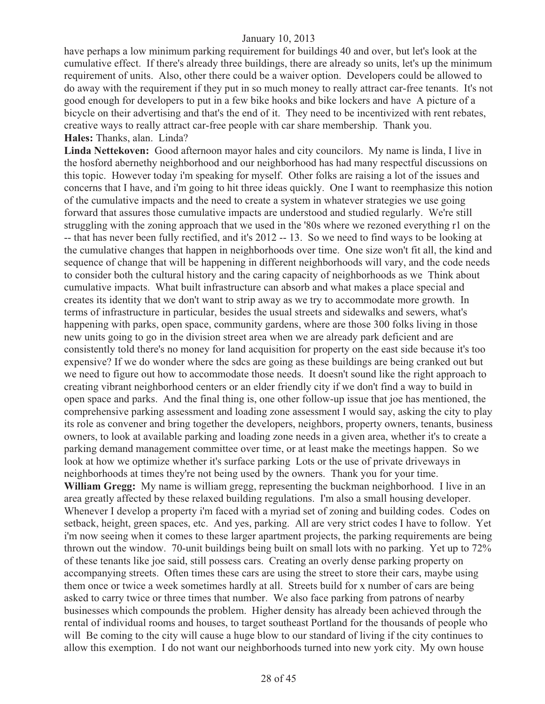have perhaps a low minimum parking requirement for buildings 40 and over, but let's look at the cumulative effect. If there's already three buildings, there are already so units, let's up the minimum requirement of units. Also, other there could be a waiver option. Developers could be allowed to do away with the requirement if they put in so much money to really attract car-free tenants. It's not good enough for developers to put in a few bike hooks and bike lockers and have A picture of a bicycle on their advertising and that's the end of it. They need to be incentivized with rent rebates, creative ways to really attract car-free people with car share membership. Thank you. **Hales:** Thanks, alan. Linda?

**Linda Nettekoven:** Good afternoon mayor hales and city councilors. My name is linda, I live in the hosford abernethy neighborhood and our neighborhood has had many respectful discussions on this topic. However today i'm speaking for myself. Other folks are raising a lot of the issues and concerns that I have, and i'm going to hit three ideas quickly. One I want to reemphasize this notion of the cumulative impacts and the need to create a system in whatever strategies we use going forward that assures those cumulative impacts are understood and studied regularly. We're still struggling with the zoning approach that we used in the '80s where we rezoned everything r1 on the -- that has never been fully rectified, and it's 2012 -- 13. So we need to find ways to be looking at the cumulative changes that happen in neighborhoods over time. One size won't fit all, the kind and sequence of change that will be happening in different neighborhoods will vary, and the code needs to consider both the cultural history and the caring capacity of neighborhoods as we Think about cumulative impacts. What built infrastructure can absorb and what makes a place special and creates its identity that we don't want to strip away as we try to accommodate more growth. In terms of infrastructure in particular, besides the usual streets and sidewalks and sewers, what's happening with parks, open space, community gardens, where are those 300 folks living in those new units going to go in the division street area when we are already park deficient and are consistently told there's no money for land acquisition for property on the east side because it's too expensive? If we do wonder where the sdcs are going as these buildings are being cranked out but we need to figure out how to accommodate those needs. It doesn't sound like the right approach to creating vibrant neighborhood centers or an elder friendly city if we don't find a way to build in open space and parks. And the final thing is, one other follow-up issue that joe has mentioned, the comprehensive parking assessment and loading zone assessment I would say, asking the city to play its role as convener and bring together the developers, neighbors, property owners, tenants, business owners, to look at available parking and loading zone needs in a given area, whether it's to create a parking demand management committee over time, or at least make the meetings happen. So we look at how we optimize whether it's surface parking Lots or the use of private driveways in neighborhoods at times they're not being used by the owners. Thank you for your time. **William Gregg:** My name is william gregg, representing the buckman neighborhood. I live in an area greatly affected by these relaxed building regulations. I'm also a small housing developer. Whenever I develop a property i'm faced with a myriad set of zoning and building codes. Codes on setback, height, green spaces, etc. And yes, parking. All are very strict codes I have to follow. Yet i'm now seeing when it comes to these larger apartment projects, the parking requirements are being thrown out the window. 70-unit buildings being built on small lots with no parking. Yet up to 72% of these tenants like joe said, still possess cars. Creating an overly dense parking property on accompanying streets. Often times these cars are using the street to store their cars, maybe using them once or twice a week sometimes hardly at all. Streets build for x number of cars are being asked to carry twice or three times that number. We also face parking from patrons of nearby businesses which compounds the problem. Higher density has already been achieved through the rental of individual rooms and houses, to target southeast Portland for the thousands of people who will Be coming to the city will cause a huge blow to our standard of living if the city continues to allow this exemption. I do not want our neighborhoods turned into new york city. My own house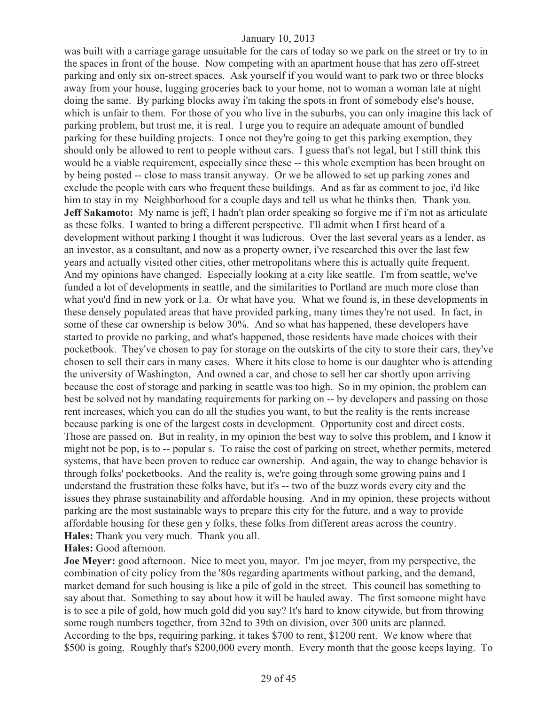was built with a carriage garage unsuitable for the cars of today so we park on the street or try to in the spaces in front of the house. Now competing with an apartment house that has zero off-street parking and only six on-street spaces. Ask yourself if you would want to park two or three blocks away from your house, lugging groceries back to your home, not to woman a woman late at night doing the same. By parking blocks away i'm taking the spots in front of somebody else's house, which is unfair to them. For those of you who live in the suburbs, you can only imagine this lack of parking problem, but trust me, it is real. I urge you to require an adequate amount of bundled parking for these building projects. I once not they're going to get this parking exemption, they should only be allowed to rent to people without cars. I guess that's not legal, but I still think this would be a viable requirement, especially since these -- this whole exemption has been brought on by being posted -- close to mass transit anyway. Or we be allowed to set up parking zones and exclude the people with cars who frequent these buildings. And as far as comment to joe, i'd like him to stay in my Neighborhood for a couple days and tell us what he thinks then. Thank you. **Jeff Sakamoto:** My name is jeff, I hadn't plan order speaking so forgive me if i'm not as articulate as these folks. I wanted to bring a different perspective. I'll admit when I first heard of a development without parking I thought it was ludicrous. Over the last several years as a lender, as an investor, as a consultant, and now as a property owner, i've researched this over the last few years and actually visited other cities, other metropolitans where this is actually quite frequent. And my opinions have changed. Especially looking at a city like seattle. I'm from seattle, we've funded a lot of developments in seattle, and the similarities to Portland are much more close than what you'd find in new york or l.a. Or what have you. What we found is, in these developments in these densely populated areas that have provided parking, many times they're not used. In fact, in some of these car ownership is below 30%. And so what has happened, these developers have started to provide no parking, and what's happened, those residents have made choices with their pocketbook. They've chosen to pay for storage on the outskirts of the city to store their cars, they've chosen to sell their cars in many cases. Where it hits close to home is our daughter who is attending the university of Washington, And owned a car, and chose to sell her car shortly upon arriving because the cost of storage and parking in seattle was too high. So in my opinion, the problem can best be solved not by mandating requirements for parking on -- by developers and passing on those rent increases, which you can do all the studies you want, to but the reality is the rents increase because parking is one of the largest costs in development. Opportunity cost and direct costs. Those are passed on. But in reality, in my opinion the best way to solve this problem, and I know it might not be pop, is to -- popular s. To raise the cost of parking on street, whether permits, metered systems, that have been proven to reduce car ownership. And again, the way to change behavior is through folks' pocketbooks. And the reality is, we're going through some growing pains and I understand the frustration these folks have, but it's -- two of the buzz words every city and the issues they phrase sustainability and affordable housing. And in my opinion, these projects without parking are the most sustainable ways to prepare this city for the future, and a way to provide affordable housing for these gen y folks, these folks from different areas across the country. **Hales:** Thank you very much. Thank you all.

**Hales:** Good afternoon.

**Joe Meyer:** good afternoon. Nice to meet you, mayor. I'm joe meyer, from my perspective, the combination of city policy from the '80s regarding apartments without parking, and the demand, market demand for such housing is like a pile of gold in the street. This council has something to say about that. Something to say about how it will be hauled away. The first someone might have is to see a pile of gold, how much gold did you say? It's hard to know citywide, but from throwing some rough numbers together, from 32nd to 39th on division, over 300 units are planned. According to the bps, requiring parking, it takes \$700 to rent, \$1200 rent. We know where that \$500 is going. Roughly that's \$200,000 every month. Every month that the goose keeps laying. To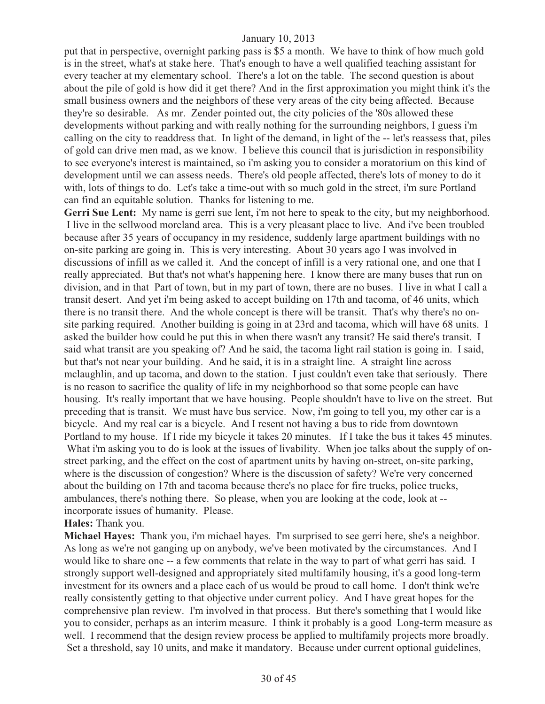put that in perspective, overnight parking pass is \$5 a month. We have to think of how much gold is in the street, what's at stake here. That's enough to have a well qualified teaching assistant for every teacher at my elementary school. There's a lot on the table. The second question is about about the pile of gold is how did it get there? And in the first approximation you might think it's the small business owners and the neighbors of these very areas of the city being affected. Because they're so desirable. As mr. Zender pointed out, the city policies of the '80s allowed these developments without parking and with really nothing for the surrounding neighbors, I guess i'm calling on the city to readdress that. In light of the demand, in light of the -- let's reassess that, piles of gold can drive men mad, as we know. I believe this council that is jurisdiction in responsibility to see everyone's interest is maintained, so i'm asking you to consider a moratorium on this kind of development until we can assess needs. There's old people affected, there's lots of money to do it with, lots of things to do. Let's take a time-out with so much gold in the street, i'm sure Portland can find an equitable solution. Thanks for listening to me.

Gerri Sue Lent: My name is gerri sue lent, i'm not here to speak to the city, but my neighborhood. I live in the sellwood moreland area. This is a very pleasant place to live. And i've been troubled because after 35 years of occupancy in my residence, suddenly large apartment buildings with no on-site parking are going in. This is very interesting. About 30 years ago I was involved in discussions of infill as we called it. And the concept of infill is a very rational one, and one that I really appreciated. But that's not what's happening here. I know there are many buses that run on division, and in that Part of town, but in my part of town, there are no buses. I live in what I call a transit desert. And yet i'm being asked to accept building on 17th and tacoma, of 46 units, which there is no transit there. And the whole concept is there will be transit. That's why there's no onsite parking required. Another building is going in at 23rd and tacoma, which will have 68 units. I asked the builder how could he put this in when there wasn't any transit? He said there's transit. I said what transit are you speaking of? And he said, the tacoma light rail station is going in. I said, but that's not near your building. And he said, it is in a straight line. A straight line across mclaughlin, and up tacoma, and down to the station. I just couldn't even take that seriously. There is no reason to sacrifice the quality of life in my neighborhood so that some people can have housing. It's really important that we have housing. People shouldn't have to live on the street. But preceding that is transit. We must have bus service. Now, i'm going to tell you, my other car is a bicycle. And my real car is a bicycle. And I resent not having a bus to ride from downtown Portland to my house. If I ride my bicycle it takes 20 minutes. If I take the bus it takes 45 minutes. What i'm asking you to do is look at the issues of livability. When joe talks about the supply of onstreet parking, and the effect on the cost of apartment units by having on-street, on-site parking, where is the discussion of congestion? Where is the discussion of safety? We're very concerned about the building on 17th and tacoma because there's no place for fire trucks, police trucks, ambulances, there's nothing there. So please, when you are looking at the code, look at - incorporate issues of humanity. Please.

#### **Hales:** Thank you.

**Michael Hayes:** Thank you, i'm michael hayes. I'm surprised to see gerri here, she's a neighbor. As long as we're not ganging up on anybody, we've been motivated by the circumstances. And I would like to share one -- a few comments that relate in the way to part of what gerri has said. I strongly support well-designed and appropriately sited multifamily housing, it's a good long-term investment for its owners and a place each of us would be proud to call home. I don't think we're really consistently getting to that objective under current policy. And I have great hopes for the comprehensive plan review. I'm involved in that process. But there's something that I would like you to consider, perhaps as an interim measure. I think it probably is a good Long-term measure as well. I recommend that the design review process be applied to multifamily projects more broadly. Set a threshold, say 10 units, and make it mandatory. Because under current optional guidelines,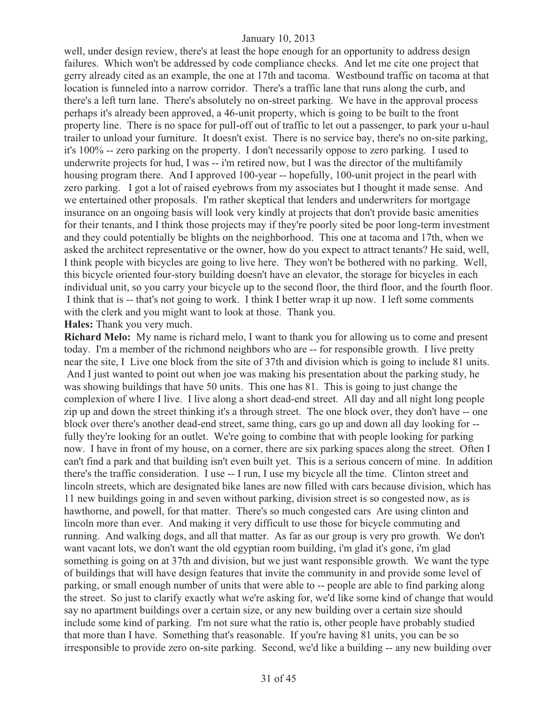well, under design review, there's at least the hope enough for an opportunity to address design failures. Which won't be addressed by code compliance checks. And let me cite one project that gerry already cited as an example, the one at 17th and tacoma. Westbound traffic on tacoma at that location is funneled into a narrow corridor. There's a traffic lane that runs along the curb, and there's a left turn lane. There's absolutely no on-street parking. We have in the approval process perhaps it's already been approved, a 46-unit property, which is going to be built to the front property line. There is no space for pull-off out of traffic to let out a passenger, to park your u-haul trailer to unload your furniture. It doesn't exist. There is no service bay, there's no on-site parking, it's 100% -- zero parking on the property. I don't necessarily oppose to zero parking. I used to underwrite projects for hud, I was -- i'm retired now, but I was the director of the multifamily housing program there. And I approved 100-year -- hopefully, 100-unit project in the pearl with zero parking. I got a lot of raised eyebrows from my associates but I thought it made sense. And we entertained other proposals. I'm rather skeptical that lenders and underwriters for mortgage insurance on an ongoing basis will look very kindly at projects that don't provide basic amenities for their tenants, and I think those projects may if they're poorly sited be poor long-term investment and they could potentially be blights on the neighborhood. This one at tacoma and 17th, when we asked the architect representative or the owner, how do you expect to attract tenants? He said, well, I think people with bicycles are going to live here. They won't be bothered with no parking. Well, this bicycle oriented four-story building doesn't have an elevator, the storage for bicycles in each individual unit, so you carry your bicycle up to the second floor, the third floor, and the fourth floor. I think that is -- that's not going to work. I think I better wrap it up now. I left some comments with the clerk and you might want to look at those. Thank you.

#### **Hales:** Thank you very much.

**Richard Melo:** My name is richard melo, I want to thank you for allowing us to come and present today. I'm a member of the richmond neighbors who are -- for responsible growth. I live pretty near the site, I Live one block from the site of 37th and division which is going to include 81 units. And I just wanted to point out when joe was making his presentation about the parking study, he was showing buildings that have 50 units. This one has 81. This is going to just change the complexion of where I live. I live along a short dead-end street. All day and all night long people zip up and down the street thinking it's a through street. The one block over, they don't have -- one block over there's another dead-end street, same thing, cars go up and down all day looking for - fully they're looking for an outlet. We're going to combine that with people looking for parking now. I have in front of my house, on a corner, there are six parking spaces along the street. Often I can't find a park and that building isn't even built yet. This is a serious concern of mine. In addition there's the traffic consideration. I use -- I run, I use my bicycle all the time. Clinton street and lincoln streets, which are designated bike lanes are now filled with cars because division, which has 11 new buildings going in and seven without parking, division street is so congested now, as is hawthorne, and powell, for that matter. There's so much congested cars Are using clinton and lincoln more than ever. And making it very difficult to use those for bicycle commuting and running. And walking dogs, and all that matter. As far as our group is very pro growth. We don't want vacant lots, we don't want the old egyptian room building, i'm glad it's gone, i'm glad something is going on at 37th and division, but we just want responsible growth. We want the type of buildings that will have design features that invite the community in and provide some level of parking, or small enough number of units that were able to -- people are able to find parking along the street. So just to clarify exactly what we're asking for, we'd like some kind of change that would say no apartment buildings over a certain size, or any new building over a certain size should include some kind of parking. I'm not sure what the ratio is, other people have probably studied that more than I have. Something that's reasonable. If you're having 81 units, you can be so irresponsible to provide zero on-site parking. Second, we'd like a building -- any new building over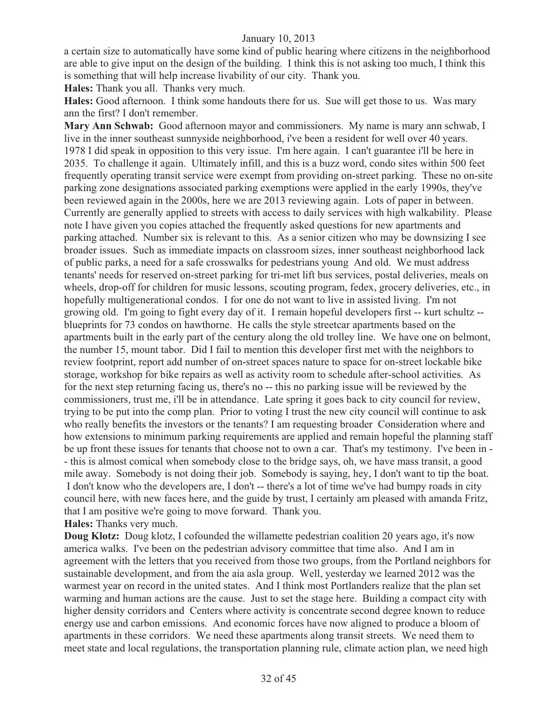a certain size to automatically have some kind of public hearing where citizens in the neighborhood are able to give input on the design of the building. I think this is not asking too much, I think this is something that will help increase livability of our city. Thank you.

**Hales:** Thank you all. Thanks very much.

**Hales:** Good afternoon. I think some handouts there for us. Sue will get those to us. Was mary ann the first? I don't remember.

**Mary Ann Schwab:** Good afternoon mayor and commissioners. My name is mary ann schwab, I live in the inner southeast sunnyside neighborhood, i've been a resident for well over 40 years. 1978 I did speak in opposition to this very issue. I'm here again. I can't guarantee i'll be here in 2035. To challenge it again. Ultimately infill, and this is a buzz word, condo sites within 500 feet frequently operating transit service were exempt from providing on-street parking. These no on-site parking zone designations associated parking exemptions were applied in the early 1990s, they've been reviewed again in the 2000s, here we are 2013 reviewing again. Lots of paper in between. Currently are generally applied to streets with access to daily services with high walkability. Please note I have given you copies attached the frequently asked questions for new apartments and parking attached. Number six is relevant to this. As a senior citizen who may be downsizing I see broader issues. Such as immediate impacts on classroom sizes, inner southeast neighborhood lack of public parks, a need for a safe crosswalks for pedestrians young And old. We must address tenants' needs for reserved on-street parking for tri-met lift bus services, postal deliveries, meals on wheels, drop-off for children for music lessons, scouting program, fedex, grocery deliveries, etc., in hopefully multigenerational condos. I for one do not want to live in assisted living. I'm not growing old. I'm going to fight every day of it. I remain hopeful developers first -- kurt schultz - blueprints for 73 condos on hawthorne. He calls the style streetcar apartments based on the apartments built in the early part of the century along the old trolley line. We have one on belmont, the number 15, mount tabor. Did I fail to mention this developer first met with the neighbors to review footprint, report add number of on-street spaces nature to space for on-street lockable bike storage, workshop for bike repairs as well as activity room to schedule after-school activities. As for the next step returning facing us, there's no -- this no parking issue will be reviewed by the commissioners, trust me, i'll be in attendance. Late spring it goes back to city council for review, trying to be put into the comp plan. Prior to voting I trust the new city council will continue to ask who really benefits the investors or the tenants? I am requesting broader Consideration where and how extensions to minimum parking requirements are applied and remain hopeful the planning staff be up front these issues for tenants that choose not to own a car. That's my testimony. I've been in - - this is almost comical when somebody close to the bridge says, oh, we have mass transit, a good mile away. Somebody is not doing their job. Somebody is saying, hey, I don't want to tip the boat. I don't know who the developers are, I don't -- there's a lot of time we've had bumpy roads in city council here, with new faces here, and the guide by trust, I certainly am pleased with amanda Fritz, that I am positive we're going to move forward. Thank you. **Hales:** Thanks very much.

**Doug Klotz:** Doug klotz, I cofounded the willamette pedestrian coalition 20 years ago, it's now america walks. I've been on the pedestrian advisory committee that time also. And I am in agreement with the letters that you received from those two groups, from the Portland neighbors for sustainable development, and from the aia asla group. Well, yesterday we learned 2012 was the warmest year on record in the united states. And I think most Portlanders realize that the plan set warming and human actions are the cause. Just to set the stage here. Building a compact city with higher density corridors and Centers where activity is concentrate second degree known to reduce energy use and carbon emissions. And economic forces have now aligned to produce a bloom of apartments in these corridors. We need these apartments along transit streets. We need them to meet state and local regulations, the transportation planning rule, climate action plan, we need high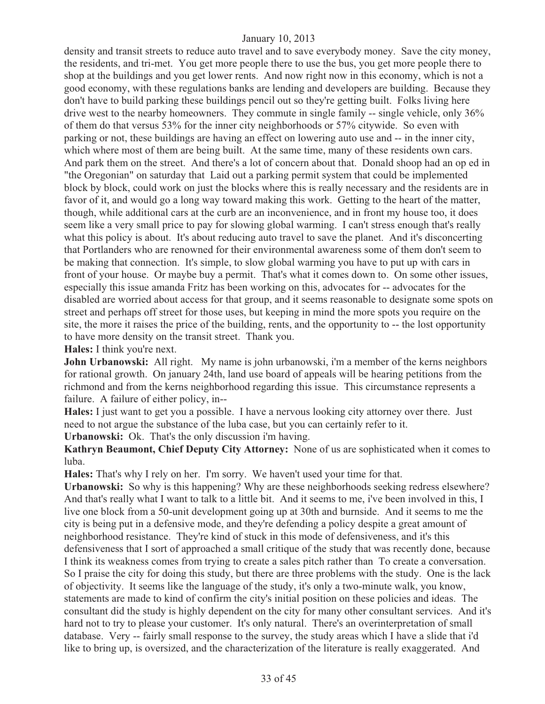density and transit streets to reduce auto travel and to save everybody money. Save the city money, the residents, and tri-met. You get more people there to use the bus, you get more people there to shop at the buildings and you get lower rents. And now right now in this economy, which is not a good economy, with these regulations banks are lending and developers are building. Because they don't have to build parking these buildings pencil out so they're getting built. Folks living here drive west to the nearby homeowners. They commute in single family -- single vehicle, only 36% of them do that versus 53% for the inner city neighborhoods or 57% citywide. So even with parking or not, these buildings are having an effect on lowering auto use and -- in the inner city, which where most of them are being built. At the same time, many of these residents own cars. And park them on the street. And there's a lot of concern about that. Donald shoop had an op ed in "the Oregonian" on saturday that Laid out a parking permit system that could be implemented block by block, could work on just the blocks where this is really necessary and the residents are in favor of it, and would go a long way toward making this work. Getting to the heart of the matter, though, while additional cars at the curb are an inconvenience, and in front my house too, it does seem like a very small price to pay for slowing global warming. I can't stress enough that's really what this policy is about. It's about reducing auto travel to save the planet. And it's disconcerting that Portlanders who are renowned for their environmental awareness some of them don't seem to be making that connection. It's simple, to slow global warming you have to put up with cars in front of your house. Or maybe buy a permit. That's what it comes down to. On some other issues, especially this issue amanda Fritz has been working on this, advocates for -- advocates for the disabled are worried about access for that group, and it seems reasonable to designate some spots on street and perhaps off street for those uses, but keeping in mind the more spots you require on the site, the more it raises the price of the building, rents, and the opportunity to -- the lost opportunity to have more density on the transit street. Thank you.

**Hales:** I think you're next.

**John Urbanowski:** All right. My name is john urbanowski, i'm a member of the kerns neighbors for rational growth. On january 24th, land use board of appeals will be hearing petitions from the richmond and from the kerns neighborhood regarding this issue. This circumstance represents a failure. A failure of either policy, in--

**Hales:** I just want to get you a possible. I have a nervous looking city attorney over there. Just need to not argue the substance of the luba case, but you can certainly refer to it.

**Urbanowski:** Ok. That's the only discussion i'm having.

**Kathryn Beaumont, Chief Deputy City Attorney:** None of us are sophisticated when it comes to luba.

**Hales:** That's why I rely on her. I'm sorry. We haven't used your time for that.

**Urbanowski:** So why is this happening? Why are these neighborhoods seeking redress elsewhere? And that's really what I want to talk to a little bit. And it seems to me, i've been involved in this, I live one block from a 50-unit development going up at 30th and burnside. And it seems to me the city is being put in a defensive mode, and they're defending a policy despite a great amount of neighborhood resistance. They're kind of stuck in this mode of defensiveness, and it's this defensiveness that I sort of approached a small critique of the study that was recently done, because I think its weakness comes from trying to create a sales pitch rather than To create a conversation. So I praise the city for doing this study, but there are three problems with the study. One is the lack of objectivity. It seems like the language of the study, it's only a two-minute walk, you know, statements are made to kind of confirm the city's initial position on these policies and ideas. The consultant did the study is highly dependent on the city for many other consultant services. And it's hard not to try to please your customer. It's only natural. There's an overinterpretation of small database. Very -- fairly small response to the survey, the study areas which I have a slide that i'd like to bring up, is oversized, and the characterization of the literature is really exaggerated. And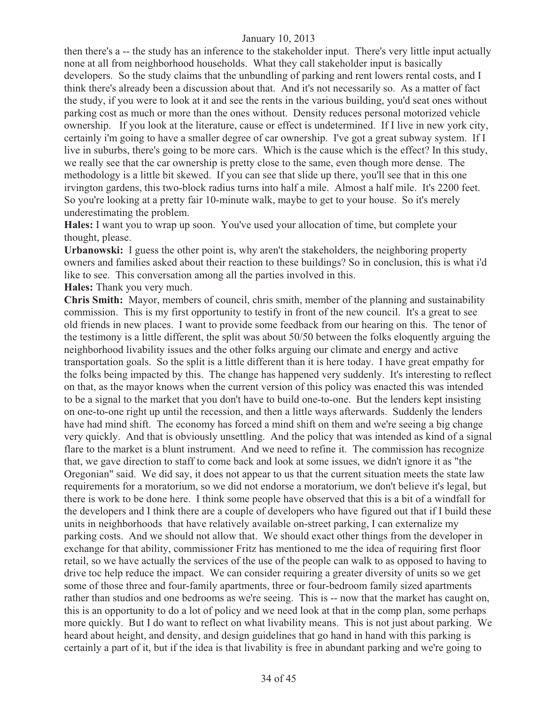then there's a -- the study has an inference to the stakeholder input. There's very little input actually none at all from neighborhood households. What they call stakeholder input is basically developers. So the study claims that the unbundling of parking and rent lowers rental costs, and I think there's already been a discussion about that. And it's not necessarily so. As a matter of fact the study, if you were to look at it and see the rents in the various building, you'd seat ones without parking cost as much or more than the ones without. Density reduces personal motorized vehicle ownership. If you look at the literature, cause or effect is undetermined. If I live in new york city, certainly i'm going to have a smaller degree of car ownership. I've got a great subway system. If I live in suburbs, there's going to be more cars. Which is the cause which is the effect? In this study, we really see that the car ownership is pretty close to the same, even though more dense. The methodology is a little bit skewed. If you can see that slide up there, you'll see that in this one irvington gardens, this two-block radius turns into half a mile. Almost a half mile. It's 2200 feet. So you're looking at a pretty fair 10-minute walk, maybe to get to your house. So it's merely underestimating the problem.

**Hales:** I want you to wrap up soon. You've used your allocation of time, but complete your thought, please.

**Urbanowski:** I guess the other point is, why aren't the stakeholders, the neighboring property owners and families asked about their reaction to these buildings? So in conclusion, this is what i'd like to see. This conversation among all the parties involved in this.

**Hales:** Thank you very much.

**Chris Smith:** Mayor, members of council, chris smith, member of the planning and sustainability commission. This is my first opportunity to testify in front of the new council. It's a great to see old friends in new places. I want to provide some feedback from our hearing on this. The tenor of the testimony is a little different, the split was about 50/50 between the folks eloquently arguing the neighborhood livability issues and the other folks arguing our climate and energy and active transportation goals. So the split is a little different than it is here today. I have great empathy for the folks being impacted by this. The change has happened very suddenly. It's interesting to reflect on that, as the mayor knows when the current version of this policy was enacted this was intended to be a signal to the market that you don't have to build one-to-one. But the lenders kept insisting on one-to-one right up until the recession, and then a little ways afterwards. Suddenly the lenders have had mind shift. The economy has forced a mind shift on them and we're seeing a big change very quickly. And that is obviously unsettling. And the policy that was intended as kind of a signal flare to the market is a blunt instrument. And we need to refine it. The commission has recognize that, we gave direction to staff to come back and look at some issues, we didn't ignore it as "the Oregonian" said. We did say, it does not appear to us that the current situation meets the state law requirements for a moratorium, so we did not endorse a moratorium, we don't believe it's legal, but there is work to be done here. I think some people have observed that this is a bit of a windfall for the developers and I think there are a couple of developers who have figured out that if I build these units in neighborhoods that have relatively available on-street parking, I can externalize my parking costs. And we should not allow that. We should exact other things from the developer in exchange for that ability, commissioner Fritz has mentioned to me the idea of requiring first floor retail, so we have actually the services of the use of the people can walk to as opposed to having to drive toc help reduce the impact. We can consider requiring a greater diversity of units so we get some of those three and four-family apartments, three or four-bedroom family sized apartments rather than studios and one bedrooms as we're seeing. This is -- now that the market has caught on, this is an opportunity to do a lot of policy and we need look at that in the comp plan, some perhaps more quickly. But I do want to reflect on what livability means. This is not just about parking. We heard about height, and density, and design guidelines that go hand in hand with this parking is certainly a part of it, but if the idea is that livability is free in abundant parking and we're going to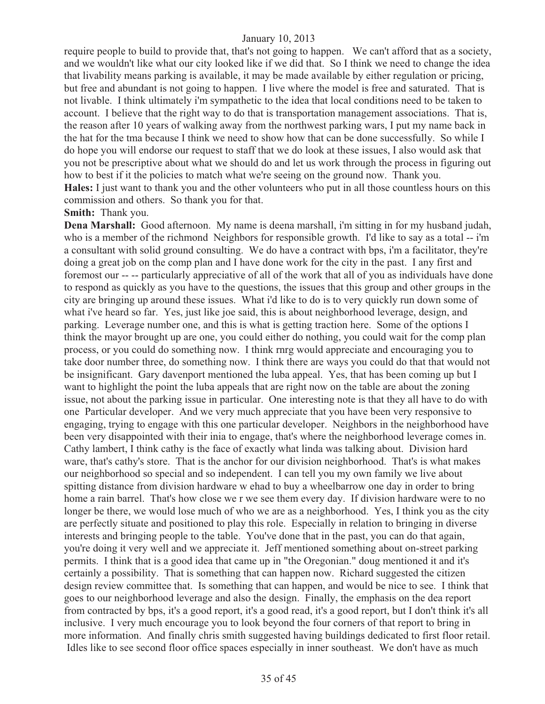require people to build to provide that, that's not going to happen. We can't afford that as a society, and we wouldn't like what our city looked like if we did that. So I think we need to change the idea that livability means parking is available, it may be made available by either regulation or pricing, but free and abundant is not going to happen. I live where the model is free and saturated. That is not livable. I think ultimately i'm sympathetic to the idea that local conditions need to be taken to account. I believe that the right way to do that is transportation management associations. That is, the reason after 10 years of walking away from the northwest parking wars, I put my name back in the hat for the tma because I think we need to show how that can be done successfully. So while I do hope you will endorse our request to staff that we do look at these issues, I also would ask that you not be prescriptive about what we should do and let us work through the process in figuring out how to best if it the policies to match what we're seeing on the ground now. Thank you. **Hales:** I just want to thank you and the other volunteers who put in all those countless hours on this commission and others. So thank you for that.

**Smith:** Thank you.

**Dena Marshall:** Good afternoon. My name is deena marshall, i'm sitting in for my husband judah, who is a member of the richmond Neighbors for responsible growth. I'd like to say as a total -- i'm a consultant with solid ground consulting. We do have a contract with bps, i'm a facilitator, they're doing a great job on the comp plan and I have done work for the city in the past. I any first and foremost our -- -- particularly appreciative of all of the work that all of you as individuals have done to respond as quickly as you have to the questions, the issues that this group and other groups in the city are bringing up around these issues. What i'd like to do is to very quickly run down some of what i've heard so far. Yes, just like joe said, this is about neighborhood leverage, design, and parking. Leverage number one, and this is what is getting traction here. Some of the options I think the mayor brought up are one, you could either do nothing, you could wait for the comp plan process, or you could do something now. I think rnrg would appreciate and encouraging you to take door number three, do something now. I think there are ways you could do that that would not be insignificant. Gary davenport mentioned the luba appeal. Yes, that has been coming up but I want to highlight the point the luba appeals that are right now on the table are about the zoning issue, not about the parking issue in particular. One interesting note is that they all have to do with one Particular developer. And we very much appreciate that you have been very responsive to engaging, trying to engage with this one particular developer. Neighbors in the neighborhood have been very disappointed with their inia to engage, that's where the neighborhood leverage comes in. Cathy lambert, I think cathy is the face of exactly what linda was talking about. Division hard ware, that's cathy's store. That is the anchor for our division neighborhood. That's is what makes our neighborhood so special and so independent. I can tell you my own family we live about spitting distance from division hardware w ehad to buy a wheelbarrow one day in order to bring home a rain barrel. That's how close we r we see them every day. If division hardware were to no longer be there, we would lose much of who we are as a neighborhood. Yes, I think you as the city are perfectly situate and positioned to play this role. Especially in relation to bringing in diverse interests and bringing people to the table. You've done that in the past, you can do that again, you're doing it very well and we appreciate it. Jeff mentioned something about on-street parking permits. I think that is a good idea that came up in "the Oregonian." doug mentioned it and it's certainly a possibility. That is something that can happen now. Richard suggested the citizen design review committee that. Is something that can happen, and would be nice to see. I think that goes to our neighborhood leverage and also the design. Finally, the emphasis on the dea report from contracted by bps, it's a good report, it's a good read, it's a good report, but I don't think it's all inclusive. I very much encourage you to look beyond the four corners of that report to bring in more information. And finally chris smith suggested having buildings dedicated to first floor retail. Idles like to see second floor office spaces especially in inner southeast. We don't have as much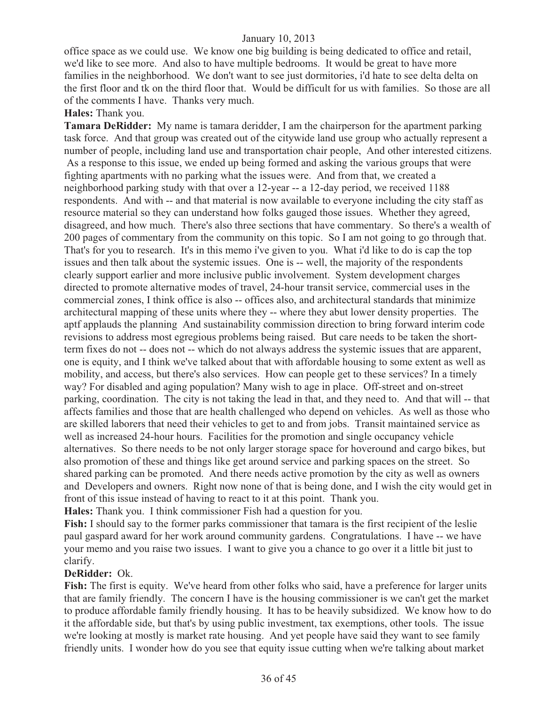office space as we could use. We know one big building is being dedicated to office and retail, we'd like to see more. And also to have multiple bedrooms. It would be great to have more families in the neighborhood. We don't want to see just dormitories, i'd hate to see delta delta on the first floor and tk on the third floor that. Would be difficult for us with families. So those are all of the comments I have. Thanks very much.

#### **Hales:** Thank you.

**Tamara DeRidder:** My name is tamara deridder, I am the chairperson for the apartment parking task force. And that group was created out of the citywide land use group who actually represent a number of people, including land use and transportation chair people, And other interested citizens. As a response to this issue, we ended up being formed and asking the various groups that were fighting apartments with no parking what the issues were. And from that, we created a neighborhood parking study with that over a 12-year -- a 12-day period, we received 1188 respondents. And with -- and that material is now available to everyone including the city staff as resource material so they can understand how folks gauged those issues. Whether they agreed, disagreed, and how much. There's also three sections that have commentary. So there's a wealth of 200 pages of commentary from the community on this topic. So I am not going to go through that. That's for you to research. It's in this memo i've given to you. What i'd like to do is cap the top issues and then talk about the systemic issues. One is -- well, the majority of the respondents clearly support earlier and more inclusive public involvement. System development charges directed to promote alternative modes of travel, 24-hour transit service, commercial uses in the commercial zones, I think office is also -- offices also, and architectural standards that minimize architectural mapping of these units where they -- where they abut lower density properties. The aptf applauds the planning And sustainability commission direction to bring forward interim code revisions to address most egregious problems being raised. But care needs to be taken the shortterm fixes do not -- does not -- which do not always address the systemic issues that are apparent, one is equity, and I think we've talked about that with affordable housing to some extent as well as mobility, and access, but there's also services. How can people get to these services? In a timely way? For disabled and aging population? Many wish to age in place. Off-street and on-street parking, coordination. The city is not taking the lead in that, and they need to. And that will -- that affects families and those that are health challenged who depend on vehicles. As well as those who are skilled laborers that need their vehicles to get to and from jobs. Transit maintained service as well as increased 24-hour hours. Facilities for the promotion and single occupancy vehicle alternatives. So there needs to be not only larger storage space for hoveround and cargo bikes, but also promotion of these and things like get around service and parking spaces on the street. So shared parking can be promoted. And there needs active promotion by the city as well as owners and Developers and owners. Right now none of that is being done, and I wish the city would get in front of this issue instead of having to react to it at this point. Thank you.

**Hales:** Thank you. I think commissioner Fish had a question for you.

**Fish:** I should say to the former parks commissioner that tamara is the first recipient of the leslie paul gaspard award for her work around community gardens. Congratulations. I have -- we have your memo and you raise two issues. I want to give you a chance to go over it a little bit just to clarify.

# **DeRidder:** Ok.

**Fish:** The first is equity. We've heard from other folks who said, have a preference for larger units that are family friendly. The concern I have is the housing commissioner is we can't get the market to produce affordable family friendly housing. It has to be heavily subsidized. We know how to do it the affordable side, but that's by using public investment, tax exemptions, other tools. The issue we're looking at mostly is market rate housing. And yet people have said they want to see family friendly units. I wonder how do you see that equity issue cutting when we're talking about market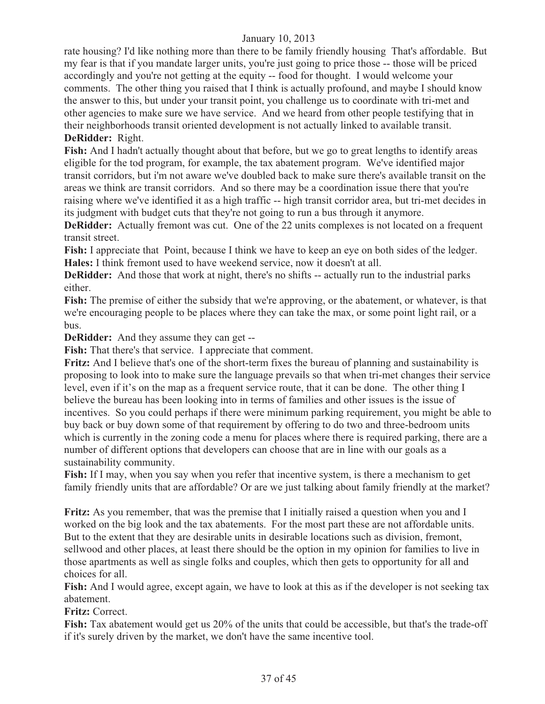rate housing? I'd like nothing more than there to be family friendly housing That's affordable. But my fear is that if you mandate larger units, you're just going to price those -- those will be priced accordingly and you're not getting at the equity -- food for thought. I would welcome your comments. The other thing you raised that I think is actually profound, and maybe I should know the answer to this, but under your transit point, you challenge us to coordinate with tri-met and other agencies to make sure we have service. And we heard from other people testifying that in their neighborhoods transit oriented development is not actually linked to available transit. **DeRidder:** Right.

**Fish:** And I hadn't actually thought about that before, but we go to great lengths to identify areas eligible for the tod program, for example, the tax abatement program. We've identified major transit corridors, but i'm not aware we've doubled back to make sure there's available transit on the areas we think are transit corridors. And so there may be a coordination issue there that you're raising where we've identified it as a high traffic -- high transit corridor area, but tri-met decides in its judgment with budget cuts that they're not going to run a bus through it anymore.

**DeRidder:** Actually fremont was cut. One of the 22 units complexes is not located on a frequent transit street.

**Fish:** I appreciate that Point, because I think we have to keep an eye on both sides of the ledger. **Hales:** I think fremont used to have weekend service, now it doesn't at all.

**DeRidder:** And those that work at night, there's no shifts -- actually run to the industrial parks either.

**Fish:** The premise of either the subsidy that we're approving, or the abatement, or whatever, is that we're encouraging people to be places where they can take the max, or some point light rail, or a bus.

**DeRidder:** And they assume they can get --

**Fish:** That there's that service. I appreciate that comment.

**Fritz:** And I believe that's one of the short-term fixes the bureau of planning and sustainability is proposing to look into to make sure the language prevails so that when tri-met changes their service level, even if it's on the map as a frequent service route, that it can be done. The other thing I believe the bureau has been looking into in terms of families and other issues is the issue of incentives. So you could perhaps if there were minimum parking requirement, you might be able to buy back or buy down some of that requirement by offering to do two and three-bedroom units which is currently in the zoning code a menu for places where there is required parking, there are a number of different options that developers can choose that are in line with our goals as a sustainability community.

Fish: If I may, when you say when you refer that incentive system, is there a mechanism to get family friendly units that are affordable? Or are we just talking about family friendly at the market?

**Fritz:** As you remember, that was the premise that I initially raised a question when you and I worked on the big look and the tax abatements. For the most part these are not affordable units. But to the extent that they are desirable units in desirable locations such as division, fremont, sellwood and other places, at least there should be the option in my opinion for families to live in those apartments as well as single folks and couples, which then gets to opportunity for all and choices for all.

**Fish:** And I would agree, except again, we have to look at this as if the developer is not seeking tax abatement.

**Fritz:** Correct.

**Fish:** Tax abatement would get us 20% of the units that could be accessible, but that's the trade-off if it's surely driven by the market, we don't have the same incentive tool.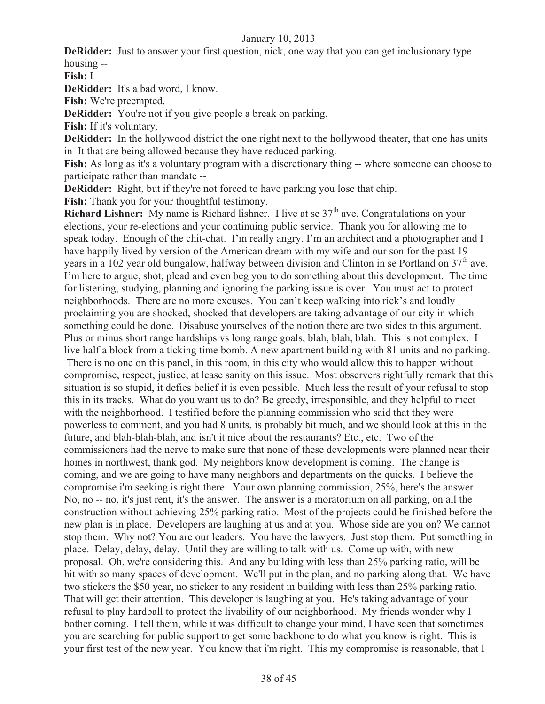**DeRidder:** Just to answer your first question, nick, one way that you can get inclusionary type housing --

**Fish:** I --

**DeRidder:** It's a bad word, I know.

**Fish:** We're preempted.

**DeRidder:** You're not if you give people a break on parking.

**Fish:** If it's voluntary.

**DeRidder:** In the hollywood district the one right next to the hollywood theater, that one has units in It that are being allowed because they have reduced parking.

**Fish:** As long as it's a voluntary program with a discretionary thing -- where someone can choose to participate rather than mandate --

**DeRidder:** Right, but if they're not forced to have parking you lose that chip.

**Fish:** Thank you for your thoughtful testimony.

**Richard Lishner:** My name is Richard lishner. I live at se  $37<sup>th</sup>$  ave. Congratulations on your elections, your re-elections and your continuing public service. Thank you for allowing me to speak today. Enough of the chit-chat. I'm really angry. I'm an architect and a photographer and I have happily lived by version of the American dream with my wife and our son for the past 19 years in a 102 year old bungalow, halfway between division and Clinton in se Portland on  $37<sup>th</sup>$  ave. I'm here to argue, shot, plead and even beg you to do something about this development. The time for listening, studying, planning and ignoring the parking issue is over. You must act to protect neighborhoods. There are no more excuses. You can't keep walking into rick's and loudly proclaiming you are shocked, shocked that developers are taking advantage of our city in which something could be done. Disabuse yourselves of the notion there are two sides to this argument. Plus or minus short range hardships vs long range goals, blah, blah, blah. This is not complex. I live half a block from a ticking time bomb. A new apartment building with 81 units and no parking.

 There is no one on this panel, in this room, in this city who would allow this to happen without compromise, respect, justice, at lease sanity on this issue. Most observers rightfully remark that this situation is so stupid, it defies belief it is even possible. Much less the result of your refusal to stop this in its tracks. What do you want us to do? Be greedy, irresponsible, and they helpful to meet with the neighborhood. I testified before the planning commission who said that they were powerless to comment, and you had 8 units, is probably bit much, and we should look at this in the future, and blah-blah-blah, and isn't it nice about the restaurants? Etc., etc. Two of the commissioners had the nerve to make sure that none of these developments were planned near their homes in northwest, thank god. My neighbors know development is coming. The change is coming, and we are going to have many neighbors and departments on the quicks. I believe the compromise i'm seeking is right there. Your own planning commission, 25%, here's the answer. No, no -- no, it's just rent, it's the answer. The answer is a moratorium on all parking, on all the construction without achieving 25% parking ratio. Most of the projects could be finished before the new plan is in place. Developers are laughing at us and at you. Whose side are you on? We cannot stop them. Why not? You are our leaders. You have the lawyers. Just stop them. Put something in place. Delay, delay, delay. Until they are willing to talk with us. Come up with, with new proposal. Oh, we're considering this. And any building with less than 25% parking ratio, will be hit with so many spaces of development. We'll put in the plan, and no parking along that. We have two stickers the \$50 year, no sticker to any resident in building with less than 25% parking ratio. That will get their attention. This developer is laughing at you. He's taking advantage of your refusal to play hardball to protect the livability of our neighborhood. My friends wonder why I bother coming. I tell them, while it was difficult to change your mind, I have seen that sometimes you are searching for public support to get some backbone to do what you know is right. This is your first test of the new year. You know that i'm right. This my compromise is reasonable, that I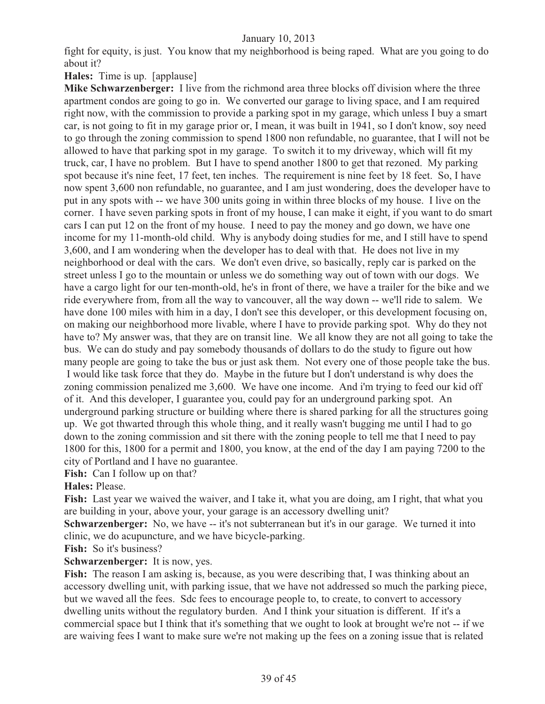fight for equity, is just. You know that my neighborhood is being raped. What are you going to do about it?

**Hales:** Time is up. [applause]

**Mike Schwarzenberger:** I live from the richmond area three blocks off division where the three apartment condos are going to go in. We converted our garage to living space, and I am required right now, with the commission to provide a parking spot in my garage, which unless I buy a smart car, is not going to fit in my garage prior or, I mean, it was built in 1941, so I don't know, soy need to go through the zoning commission to spend 1800 non refundable, no guarantee, that I will not be allowed to have that parking spot in my garage. To switch it to my driveway, which will fit my truck, car, I have no problem. But I have to spend another 1800 to get that rezoned. My parking spot because it's nine feet, 17 feet, ten inches. The requirement is nine feet by 18 feet. So, I have now spent 3,600 non refundable, no guarantee, and I am just wondering, does the developer have to put in any spots with -- we have 300 units going in within three blocks of my house. I live on the corner. I have seven parking spots in front of my house, I can make it eight, if you want to do smart cars I can put 12 on the front of my house. I need to pay the money and go down, we have one income for my 11-month-old child. Why is anybody doing studies for me, and I still have to spend 3,600, and I am wondering when the developer has to deal with that. He does not live in my neighborhood or deal with the cars. We don't even drive, so basically, reply car is parked on the street unless I go to the mountain or unless we do something way out of town with our dogs. We have a cargo light for our ten-month-old, he's in front of there, we have a trailer for the bike and we ride everywhere from, from all the way to vancouver, all the way down -- we'll ride to salem. We have done 100 miles with him in a day, I don't see this developer, or this development focusing on, on making our neighborhood more livable, where I have to provide parking spot. Why do they not have to? My answer was, that they are on transit line. We all know they are not all going to take the bus. We can do study and pay somebody thousands of dollars to do the study to figure out how many people are going to take the bus or just ask them. Not every one of those people take the bus. I would like task force that they do. Maybe in the future but I don't understand is why does the zoning commission penalized me 3,600. We have one income. And i'm trying to feed our kid off of it. And this developer, I guarantee you, could pay for an underground parking spot. An underground parking structure or building where there is shared parking for all the structures going up. We got thwarted through this whole thing, and it really wasn't bugging me until I had to go down to the zoning commission and sit there with the zoning people to tell me that I need to pay 1800 for this, 1800 for a permit and 1800, you know, at the end of the day I am paying 7200 to the city of Portland and I have no guarantee.

**Fish:** Can I follow up on that?

**Hales:** Please.

**Fish:** Last year we waived the waiver, and I take it, what you are doing, am I right, that what you are building in your, above your, your garage is an accessory dwelling unit?

**Schwarzenberger:** No, we have -- it's not subterranean but it's in our garage. We turned it into clinic, we do acupuncture, and we have bicycle-parking.

**Fish:** So it's business?

#### **Schwarzenberger:** It is now, yes.

**Fish:** The reason I am asking is, because, as you were describing that, I was thinking about an accessory dwelling unit, with parking issue, that we have not addressed so much the parking piece, but we waved all the fees. Sdc fees to encourage people to, to create, to convert to accessory dwelling units without the regulatory burden. And I think your situation is different. If it's a commercial space but I think that it's something that we ought to look at brought we're not -- if we are waiving fees I want to make sure we're not making up the fees on a zoning issue that is related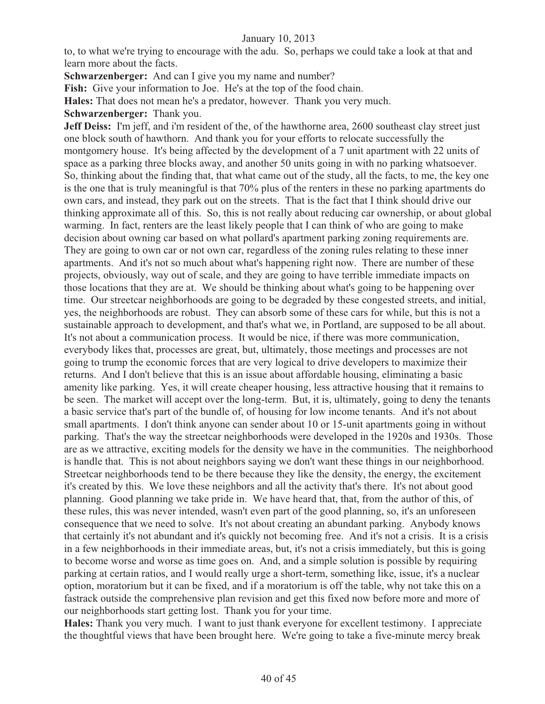to, to what we're trying to encourage with the adu. So, perhaps we could take a look at that and learn more about the facts.

**Schwarzenberger:** And can I give you my name and number?

**Fish:** Give your information to Joe. He's at the top of the food chain.

**Hales:** That does not mean he's a predator, however. Thank you very much.

#### **Schwarzenberger:** Thank you.

**Jeff Deiss:** I'm jeff, and i'm resident of the, of the hawthorne area, 2600 southeast clay street just one block south of hawthorn. And thank you for your efforts to relocate successfully the montgomery house. It's being affected by the development of a 7 unit apartment with 22 units of space as a parking three blocks away, and another 50 units going in with no parking whatsoever. So, thinking about the finding that, that what came out of the study, all the facts, to me, the key one is the one that is truly meaningful is that 70% plus of the renters in these no parking apartments do own cars, and instead, they park out on the streets. That is the fact that I think should drive our thinking approximate all of this. So, this is not really about reducing car ownership, or about global warming. In fact, renters are the least likely people that I can think of who are going to make decision about owning car based on what pollard's apartment parking zoning requirements are. They are going to own car or not own car, regardless of the zoning rules relating to these inner apartments. And it's not so much about what's happening right now. There are number of these projects, obviously, way out of scale, and they are going to have terrible immediate impacts on those locations that they are at. We should be thinking about what's going to be happening over time. Our streetcar neighborhoods are going to be degraded by these congested streets, and initial, yes, the neighborhoods are robust. They can absorb some of these cars for while, but this is not a sustainable approach to development, and that's what we, in Portland, are supposed to be all about. It's not about a communication process. It would be nice, if there was more communication, everybody likes that, processes are great, but, ultimately, those meetings and processes are not going to trump the economic forces that are very logical to drive developers to maximize their returns. And I don't believe that this is an issue about affordable housing, eliminating a basic amenity like parking. Yes, it will create cheaper housing, less attractive housing that it remains to be seen. The market will accept over the long-term. But, it is, ultimately, going to deny the tenants a basic service that's part of the bundle of, of housing for low income tenants. And it's not about small apartments. I don't think anyone can sender about 10 or 15-unit apartments going in without parking. That's the way the streetcar neighborhoods were developed in the 1920s and 1930s. Those are as we attractive, exciting models for the density we have in the communities. The neighborhood is handle that. This is not about neighbors saying we don't want these things in our neighborhood. Streetcar neighborhoods tend to be there because they like the density, the energy, the excitement it's created by this. We love these neighbors and all the activity that's there. It's not about good planning. Good planning we take pride in. We have heard that, that, from the author of this, of these rules, this was never intended, wasn't even part of the good planning, so, it's an unforeseen consequence that we need to solve. It's not about creating an abundant parking. Anybody knows that certainly it's not abundant and it's quickly not becoming free. And it's not a crisis. It is a crisis in a few neighborhoods in their immediate areas, but, it's not a crisis immediately, but this is going to become worse and worse as time goes on. And, and a simple solution is possible by requiring parking at certain ratios, and I would really urge a short-term, something like, issue, it's a nuclear option, moratorium but it can be fixed, and if a moratorium is off the table, why not take this on a fastrack outside the comprehensive plan revision and get this fixed now before more and more of our neighborhoods start getting lost. Thank you for your time.

**Hales:** Thank you very much. I want to just thank everyone for excellent testimony. I appreciate the thoughtful views that have been brought here. We're going to take a five-minute mercy break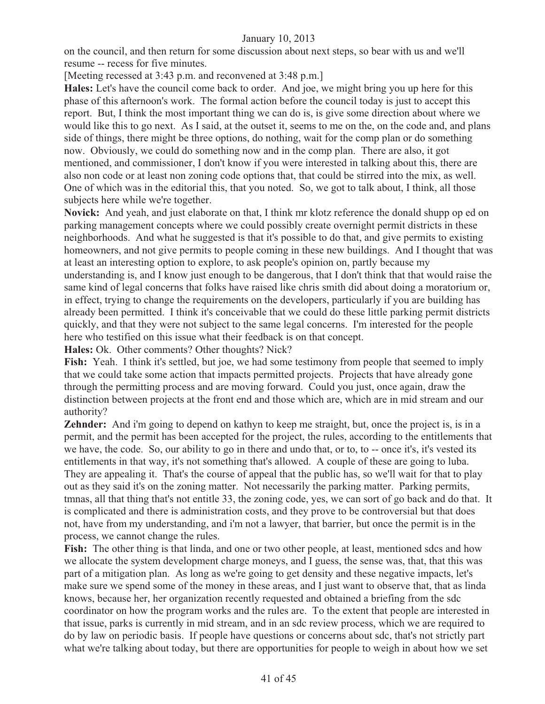on the council, and then return for some discussion about next steps, so bear with us and we'll resume -- recess for five minutes.

[Meeting recessed at 3:43 p.m. and reconvened at 3:48 p.m.]

**Hales:** Let's have the council come back to order. And joe, we might bring you up here for this phase of this afternoon's work. The formal action before the council today is just to accept this report. But, I think the most important thing we can do is, is give some direction about where we would like this to go next. As I said, at the outset it, seems to me on the, on the code and, and plans side of things, there might be three options, do nothing, wait for the comp plan or do something now. Obviously, we could do something now and in the comp plan. There are also, it got mentioned, and commissioner, I don't know if you were interested in talking about this, there are also non code or at least non zoning code options that, that could be stirred into the mix, as well. One of which was in the editorial this, that you noted. So, we got to talk about, I think, all those subjects here while we're together.

**Novick:** And yeah, and just elaborate on that, I think mr klotz reference the donald shupp op ed on parking management concepts where we could possibly create overnight permit districts in these neighborhoods. And what he suggested is that it's possible to do that, and give permits to existing homeowners, and not give permits to people coming in these new buildings. And I thought that was at least an interesting option to explore, to ask people's opinion on, partly because my understanding is, and I know just enough to be dangerous, that I don't think that that would raise the same kind of legal concerns that folks have raised like chris smith did about doing a moratorium or, in effect, trying to change the requirements on the developers, particularly if you are building has already been permitted. I think it's conceivable that we could do these little parking permit districts quickly, and that they were not subject to the same legal concerns. I'm interested for the people here who testified on this issue what their feedback is on that concept.

**Hales:** Ok. Other comments? Other thoughts? Nick?

Fish: Yeah. I think it's settled, but joe, we had some testimony from people that seemed to imply that we could take some action that impacts permitted projects. Projects that have already gone through the permitting process and are moving forward. Could you just, once again, draw the distinction between projects at the front end and those which are, which are in mid stream and our authority?

**Zehnder:** And i'm going to depend on kathyn to keep me straight, but, once the project is, is in a permit, and the permit has been accepted for the project, the rules, according to the entitlements that we have, the code. So, our ability to go in there and undo that, or to, to -- once it's, it's vested its entitlements in that way, it's not something that's allowed. A couple of these are going to luba. They are appealing it. That's the course of appeal that the public has, so we'll wait for that to play out as they said it's on the zoning matter. Not necessarily the parking matter. Parking permits, tmnas, all that thing that's not entitle 33, the zoning code, yes, we can sort of go back and do that. It is complicated and there is administration costs, and they prove to be controversial but that does not, have from my understanding, and i'm not a lawyer, that barrier, but once the permit is in the process, we cannot change the rules.

Fish: The other thing is that linda, and one or two other people, at least, mentioned sdcs and how we allocate the system development charge moneys, and I guess, the sense was, that, that this was part of a mitigation plan. As long as we're going to get density and these negative impacts, let's make sure we spend some of the money in these areas, and I just want to observe that, that as linda knows, because her, her organization recently requested and obtained a briefing from the sdc coordinator on how the program works and the rules are. To the extent that people are interested in that issue, parks is currently in mid stream, and in an sdc review process, which we are required to do by law on periodic basis. If people have questions or concerns about sdc, that's not strictly part what we're talking about today, but there are opportunities for people to weigh in about how we set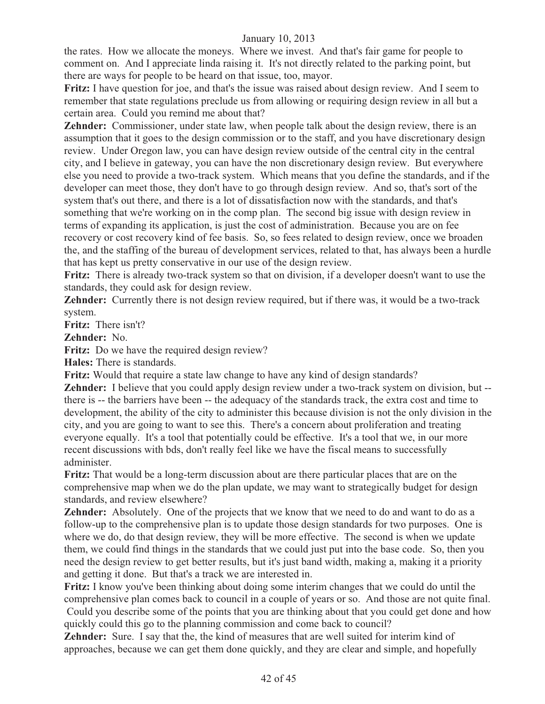the rates. How we allocate the moneys. Where we invest. And that's fair game for people to comment on. And I appreciate linda raising it. It's not directly related to the parking point, but there are ways for people to be heard on that issue, too, mayor.

**Fritz:** I have question for joe, and that's the issue was raised about design review. And I seem to remember that state regulations preclude us from allowing or requiring design review in all but a certain area. Could you remind me about that?

**Zehnder:** Commissioner, under state law, when people talk about the design review, there is an assumption that it goes to the design commission or to the staff, and you have discretionary design review. Under Oregon law, you can have design review outside of the central city in the central city, and I believe in gateway, you can have the non discretionary design review. But everywhere else you need to provide a two-track system. Which means that you define the standards, and if the developer can meet those, they don't have to go through design review. And so, that's sort of the system that's out there, and there is a lot of dissatisfaction now with the standards, and that's something that we're working on in the comp plan. The second big issue with design review in terms of expanding its application, is just the cost of administration. Because you are on fee recovery or cost recovery kind of fee basis. So, so fees related to design review, once we broaden the, and the staffing of the bureau of development services, related to that, has always been a hurdle that has kept us pretty conservative in our use of the design review.

**Fritz:** There is already two-track system so that on division, if a developer doesn't want to use the standards, they could ask for design review.

**Zehnder:** Currently there is not design review required, but if there was, it would be a two-track system.

**Fritz:** There isn't?

**Zehnder:** No.

Fritz: Do we have the required design review?

**Hales:** There is standards.

**Fritz:** Would that require a state law change to have any kind of design standards?

**Zehnder:** I believe that you could apply design review under a two-track system on division, but - there is -- the barriers have been -- the adequacy of the standards track, the extra cost and time to development, the ability of the city to administer this because division is not the only division in the city, and you are going to want to see this. There's a concern about proliferation and treating everyone equally. It's a tool that potentially could be effective. It's a tool that we, in our more recent discussions with bds, don't really feel like we have the fiscal means to successfully administer.

**Fritz:** That would be a long-term discussion about are there particular places that are on the comprehensive map when we do the plan update, we may want to strategically budget for design standards, and review elsewhere?

**Zehnder:** Absolutely. One of the projects that we know that we need to do and want to do as a follow-up to the comprehensive plan is to update those design standards for two purposes. One is where we do, do that design review, they will be more effective. The second is when we update them, we could find things in the standards that we could just put into the base code. So, then you need the design review to get better results, but it's just band width, making a, making it a priority and getting it done. But that's a track we are interested in.

**Fritz:** I know you've been thinking about doing some interim changes that we could do until the comprehensive plan comes back to council in a couple of years or so. And those are not quite final. Could you describe some of the points that you are thinking about that you could get done and how quickly could this go to the planning commission and come back to council?

**Zehnder:** Sure. I say that the, the kind of measures that are well suited for interim kind of approaches, because we can get them done quickly, and they are clear and simple, and hopefully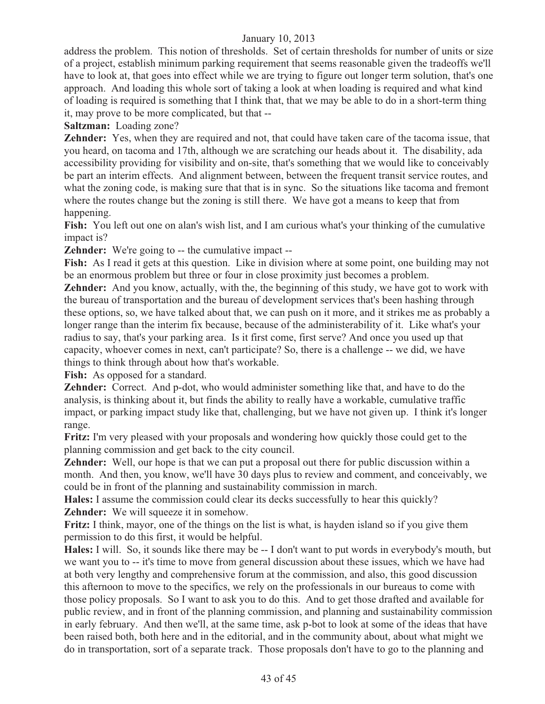address the problem. This notion of thresholds. Set of certain thresholds for number of units or size of a project, establish minimum parking requirement that seems reasonable given the tradeoffs we'll have to look at, that goes into effect while we are trying to figure out longer term solution, that's one approach. And loading this whole sort of taking a look at when loading is required and what kind of loading is required is something that I think that, that we may be able to do in a short-term thing it, may prove to be more complicated, but that --

**Saltzman:** Loading zone?

**Zehnder:** Yes, when they are required and not, that could have taken care of the tacoma issue, that you heard, on tacoma and 17th, although we are scratching our heads about it. The disability, ada accessibility providing for visibility and on-site, that's something that we would like to conceivably be part an interim effects. And alignment between, between the frequent transit service routes, and what the zoning code, is making sure that that is in sync. So the situations like tacoma and fremont where the routes change but the zoning is still there. We have got a means to keep that from happening.

**Fish:** You left out one on alan's wish list, and I am curious what's your thinking of the cumulative impact is?

**Zehnder:** We're going to -- the cumulative impact --

Fish: As I read it gets at this question. Like in division where at some point, one building may not be an enormous problem but three or four in close proximity just becomes a problem.

**Zehnder:** And you know, actually, with the, the beginning of this study, we have got to work with the bureau of transportation and the bureau of development services that's been hashing through these options, so, we have talked about that, we can push on it more, and it strikes me as probably a longer range than the interim fix because, because of the administerability of it. Like what's your radius to say, that's your parking area. Is it first come, first serve? And once you used up that capacity, whoever comes in next, can't participate? So, there is a challenge -- we did, we have things to think through about how that's workable.

**Fish:** As opposed for a standard.

**Zehnder:** Correct. And p-dot, who would administer something like that, and have to do the analysis, is thinking about it, but finds the ability to really have a workable, cumulative traffic impact, or parking impact study like that, challenging, but we have not given up. I think it's longer range.

**Fritz:** I'm very pleased with your proposals and wondering how quickly those could get to the planning commission and get back to the city council.

**Zehnder:** Well, our hope is that we can put a proposal out there for public discussion within a month. And then, you know, we'll have 30 days plus to review and comment, and conceivably, we could be in front of the planning and sustainability commission in march.

**Hales:** I assume the commission could clear its decks successfully to hear this quickly? **Zehnder:** We will squeeze it in somehow.

**Fritz:** I think, mayor, one of the things on the list is what, is hayden island so if you give them permission to do this first, it would be helpful.

**Hales:** I will. So, it sounds like there may be -- I don't want to put words in everybody's mouth, but we want you to -- it's time to move from general discussion about these issues, which we have had at both very lengthy and comprehensive forum at the commission, and also, this good discussion this afternoon to move to the specifics, we rely on the professionals in our bureaus to come with those policy proposals. So I want to ask you to do this. And to get those drafted and available for public review, and in front of the planning commission, and planning and sustainability commission in early february. And then we'll, at the same time, ask p-bot to look at some of the ideas that have been raised both, both here and in the editorial, and in the community about, about what might we do in transportation, sort of a separate track. Those proposals don't have to go to the planning and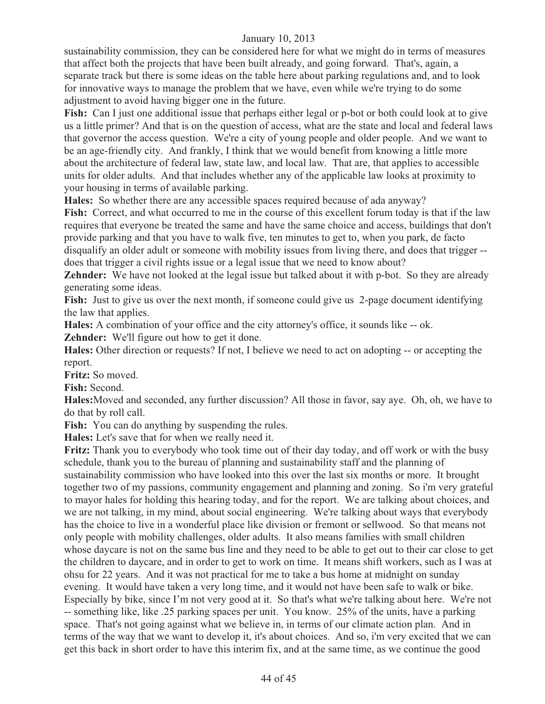sustainability commission, they can be considered here for what we might do in terms of measures that affect both the projects that have been built already, and going forward. That's, again, a separate track but there is some ideas on the table here about parking regulations and, and to look for innovative ways to manage the problem that we have, even while we're trying to do some adjustment to avoid having bigger one in the future.

**Fish:** Can I just one additional issue that perhaps either legal or p-bot or both could look at to give us a little primer? And that is on the question of access, what are the state and local and federal laws that governor the access question. We're a city of young people and older people. And we want to be an age-friendly city. And frankly, I think that we would benefit from knowing a little more about the architecture of federal law, state law, and local law. That are, that applies to accessible units for older adults. And that includes whether any of the applicable law looks at proximity to your housing in terms of available parking.

**Hales:** So whether there are any accessible spaces required because of ada anyway?

**Fish:** Correct, and what occurred to me in the course of this excellent forum today is that if the law requires that everyone be treated the same and have the same choice and access, buildings that don't provide parking and that you have to walk five, ten minutes to get to, when you park, de facto disqualify an older adult or someone with mobility issues from living there, and does that trigger - does that trigger a civil rights issue or a legal issue that we need to know about?

**Zehnder:** We have not looked at the legal issue but talked about it with p-bot. So they are already generating some ideas.

**Fish:** Just to give us over the next month, if someone could give us 2-page document identifying the law that applies.

**Hales:** A combination of your office and the city attorney's office, it sounds like -- ok.

**Zehnder:** We'll figure out how to get it done.

**Hales:** Other direction or requests? If not, I believe we need to act on adopting -- or accepting the report.

**Fritz:** So moved.

**Fish:** Second.

**Hales:**Moved and seconded, any further discussion? All those in favor, say aye. Oh, oh, we have to do that by roll call.

Fish: You can do anything by suspending the rules.

**Hales:** Let's save that for when we really need it.

**Fritz:** Thank you to everybody who took time out of their day today, and off work or with the busy schedule, thank you to the bureau of planning and sustainability staff and the planning of sustainability commission who have looked into this over the last six months or more. It brought together two of my passions, community engagement and planning and zoning. So i'm very grateful to mayor hales for holding this hearing today, and for the report. We are talking about choices, and we are not talking, in my mind, about social engineering. We're talking about ways that everybody has the choice to live in a wonderful place like division or fremont or sellwood. So that means not only people with mobility challenges, older adults. It also means families with small children whose daycare is not on the same bus line and they need to be able to get out to their car close to get the children to daycare, and in order to get to work on time. It means shift workers, such as I was at ohsu for 22 years. And it was not practical for me to take a bus home at midnight on sunday evening. It would have taken a very long time, and it would not have been safe to walk or bike. Especially by bike, since I'm not very good at it. So that's what we're talking about here. We're not -- something like, like .25 parking spaces per unit. You know. 25% of the units, have a parking space. That's not going against what we believe in, in terms of our climate action plan. And in terms of the way that we want to develop it, it's about choices. And so, i'm very excited that we can get this back in short order to have this interim fix, and at the same time, as we continue the good